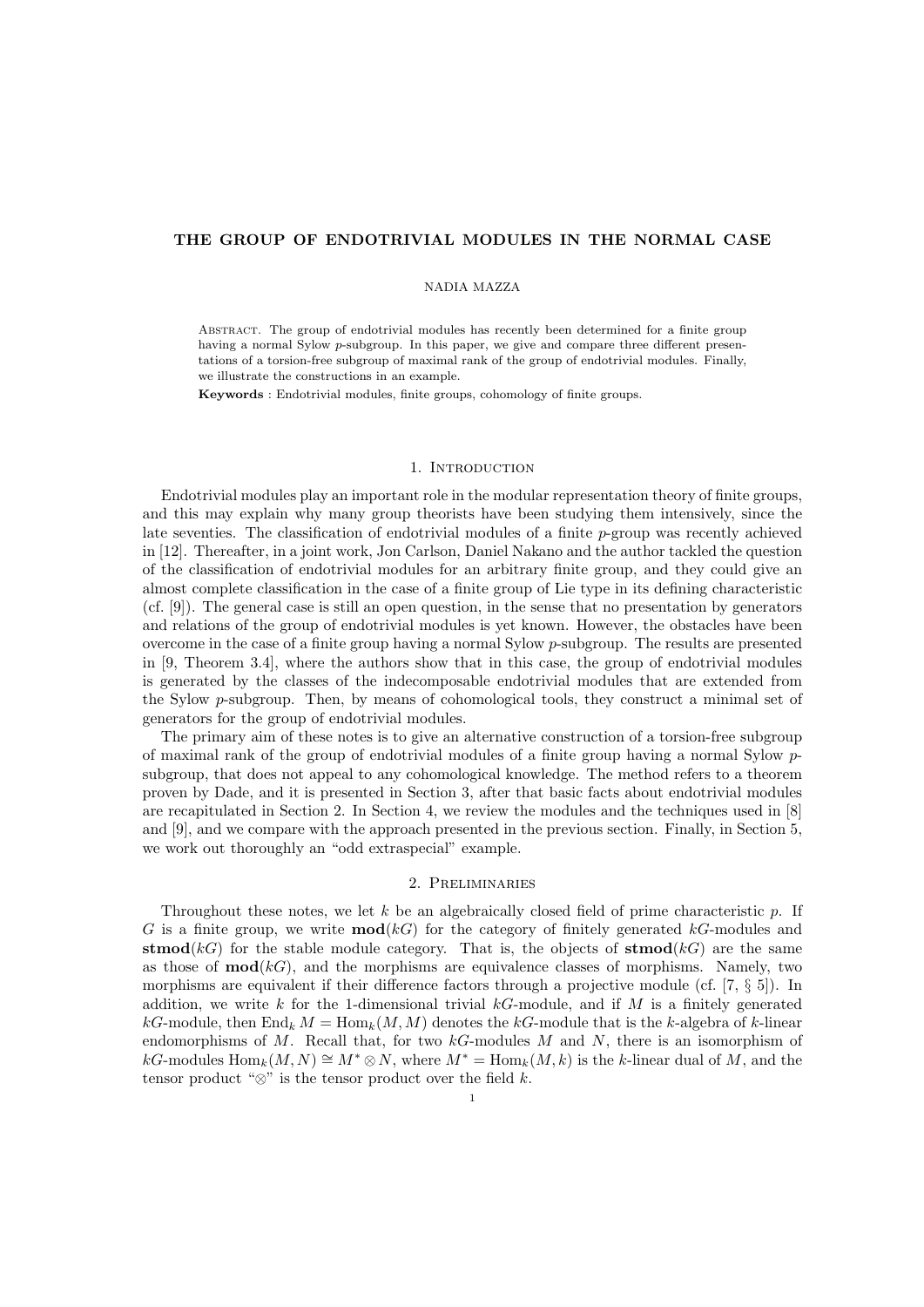## THE GROUP OF ENDOTRIVIAL MODULES IN THE NORMAL CASE

#### NADIA MAZZA

Abstract. The group of endotrivial modules has recently been determined for a finite group having a normal Sylow p-subgroup. In this paper, we give and compare three different presentations of a torsion-free subgroup of maximal rank of the group of endotrivial modules. Finally, we illustrate the constructions in an example.

Keywords : Endotrivial modules, finite groups, cohomology of finite groups.

## 1. INTRODUCTION

Endotrivial modules play an important role in the modular representation theory of finite groups, and this may explain why many group theorists have been studying them intensively, since the late seventies. The classification of endotrivial modules of a finite p-group was recently achieved in [12]. Thereafter, in a joint work, Jon Carlson, Daniel Nakano and the author tackled the question of the classification of endotrivial modules for an arbitrary finite group, and they could give an almost complete classification in the case of a finite group of Lie type in its defining characteristic (cf. [9]). The general case is still an open question, in the sense that no presentation by generators and relations of the group of endotrivial modules is yet known. However, the obstacles have been overcome in the case of a finite group having a normal Sylow p-subgroup. The results are presented in [9, Theorem 3.4], where the authors show that in this case, the group of endotrivial modules is generated by the classes of the indecomposable endotrivial modules that are extended from the Sylow p-subgroup. Then, by means of cohomological tools, they construct a minimal set of generators for the group of endotrivial modules.

The primary aim of these notes is to give an alternative construction of a torsion-free subgroup of maximal rank of the group of endotrivial modules of a finite group having a normal Sylow psubgroup, that does not appeal to any cohomological knowledge. The method refers to a theorem proven by Dade, and it is presented in Section 3, after that basic facts about endotrivial modules are recapitulated in Section 2. In Section 4, we review the modules and the techniques used in [8] and [9], and we compare with the approach presented in the previous section. Finally, in Section 5, we work out thoroughly an "odd extraspecial" example.

## 2. Preliminaries

Throughout these notes, we let k be an algebraically closed field of prime characteristic p. If G is a finite group, we write  $\text{mod}(k)$  for the category of finitely generated kG-modules and stmod(kG) for the stable module category. That is, the objects of stmod(kG) are the same as those of  $\text{mod}(k)$ , and the morphisms are equivalence classes of morphisms. Namely, two morphisms are equivalent if their difference factors through a projective module (cf. [7, § 5]). In addition, we write k for the 1-dimensional trivial  $k$ -module, and if M is a finitely generated kG-module, then  $\text{End}_k M = \text{Hom}_k(M, M)$  denotes the kG-module that is the k-algebra of k-linear endomorphisms of  $M$ . Recall that, for two  $kG$ -modules  $M$  and  $N$ , there is an isomorphism of  $kG$ -modules  $\text{Hom}_k(M, N) \cong M^* \otimes N$ , where  $M^* = \text{Hom}_k(M, k)$  is the k-linear dual of M, and the tensor product " $\otimes$ " is the tensor product over the field k.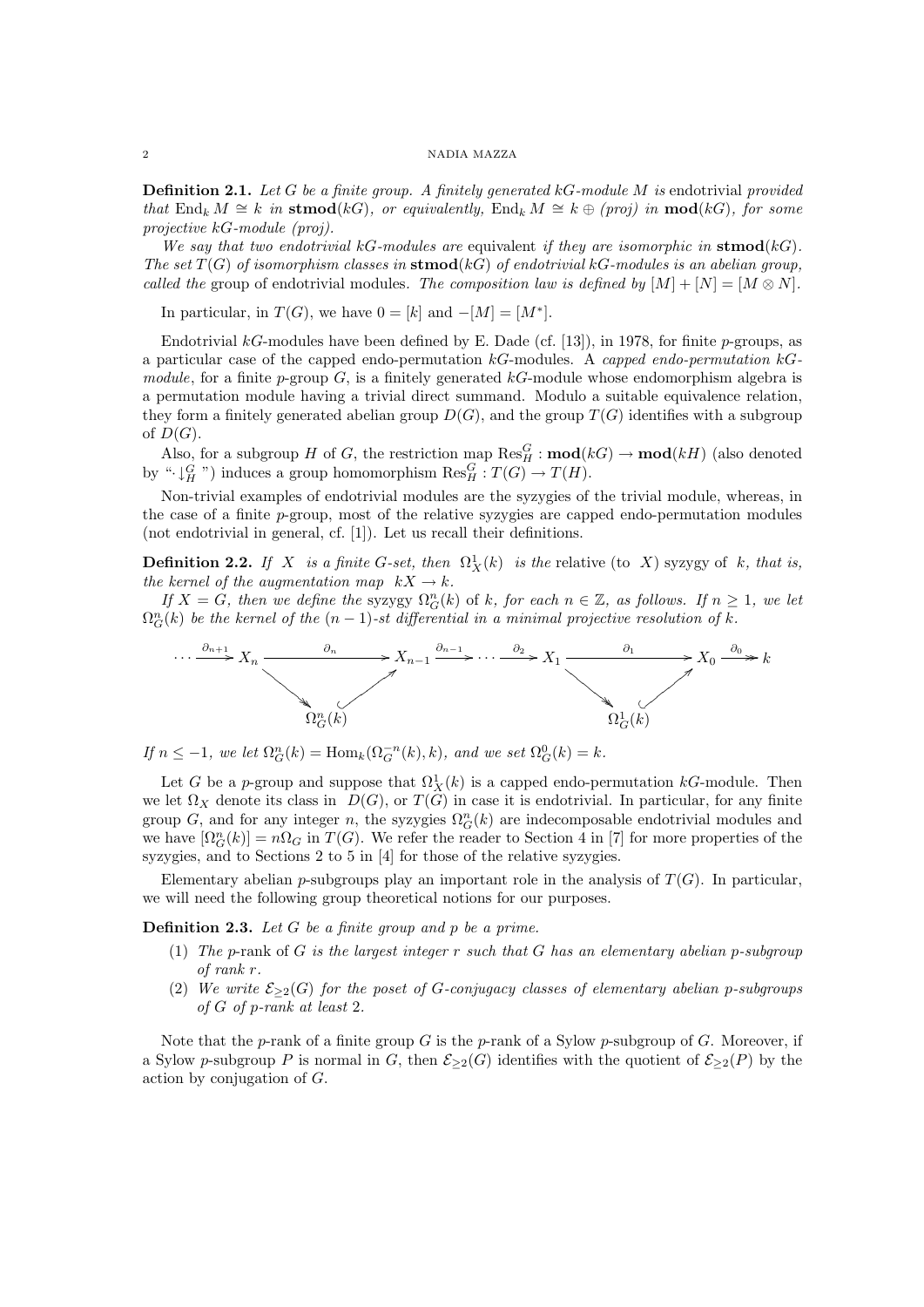**Definition 2.1.** Let G be a finite group. A finitely generated  $kG$ -module M is endotrivial provided that End<sub>k</sub>  $M \cong k$  in stmod(kG), or equivalently, End<sub>k</sub>  $M \cong k \oplus (proj)$  in mod(kG), for some projective kG-module (proj).

We say that two endotrivial kG-modules are equivalent if they are isomorphic in  $\mathbf{stmod}(k)$ . The set  $T(G)$  of isomorphism classes in  $\mathbf{stmod}(k)$  of endotrivial kG-modules is an abelian group, called the group of endotrivial modules. The composition law is defined by  $[M] + [N] = [M \otimes N]$ .

In particular, in  $T(G)$ , we have  $0 = [k]$  and  $-[M] = [M^*]$ .

Endotrivial kG-modules have been defined by E. Dade (cf. [13]), in 1978, for finite p-groups, as a particular case of the capped endo-permutation  $k$ G-modules. A capped endo-permutation  $k$ Gmodule, for a finite p-group  $G$ , is a finitely generated  $k$ -module whose endomorphism algebra is a permutation module having a trivial direct summand. Modulo a suitable equivalence relation, they form a finitely generated abelian group  $D(G)$ , and the group  $T(G)$  identifies with a subgroup of  $D(G)$ .

Also, for a subgroup H of G, the restriction map  $\text{Res}_{H}^{G} : \text{mod}(k) \to \text{mod}(k)$  (also denoted by " $\cdot \downarrow^G_H$ ") induces a group homomorphism  $\text{Res}^G_H : T(G) \to T(H)$ .

Non-trivial examples of endotrivial modules are the syzygies of the trivial module, whereas, in the case of a finite p-group, most of the relative syzygies are capped endo-permutation modules (not endotrivial in general, cf. [1]). Let us recall their definitions.

**Definition 2.2.** If X is a finite G-set, then  $\Omega_X^1(k)$  is the relative (to X) syzygy of k, that is, the kernel of the augmentation map  $kX \to k$ .

If  $X = G$ , then we define the syzygy  $\Omega_G^n(k)$  of k, for each  $n \in \mathbb{Z}$ , as follows. If  $n \geq 1$ , we let  $\Omega_G^n(k)$  be the kernel of the  $(n-1)$ -st differential in a minimal projective resolution of k.



If  $n \leq -1$ , we let  $\Omega_G^n(k) = \text{Hom}_k(\Omega_G^{-n}(k), k)$ , and we set  $\Omega_G^0(k) = k$ .

Let G be a p-group and suppose that  $\Omega_X^1(k)$  is a capped endo-permutation kG-module. Then we let  $\Omega_X$  denote its class in  $D(G)$ , or  $T(G)$  in case it is endotrivial. In particular, for any finite group G, and for any integer n, the syzygies  $\Omega_G^n(k)$  are indecomposable endotrivial modules and we have  $[\Omega_G^n(k)] = n\Omega_G$  in  $T(G)$ . We refer the reader to Section 4 in [7] for more properties of the syzygies, and to Sections 2 to 5 in [4] for those of the relative syzygies.

Elementary abelian p-subgroups play an important role in the analysis of  $T(G)$ . In particular, we will need the following group theoretical notions for our purposes.

**Definition 2.3.** Let  $G$  be a finite group and  $p$  be a prime.

- (1) The p-rank of G is the largest integer r such that G has an elementary abelian p-subgroup of rank r.
- (2) We write  $\mathcal{E}_{\geq 2}(G)$  for the poset of G-conjugacy classes of elementary abelian p-subgroups of G of p-rank at least 2.

Note that the p-rank of a finite group G is the p-rank of a Sylow p-subgroup of G. Moreover, if a Sylow p-subgroup P is normal in G, then  $\mathcal{E}_{\geq 2}(G)$  identifies with the quotient of  $\mathcal{E}_{\geq 2}(P)$  by the action by conjugation of G.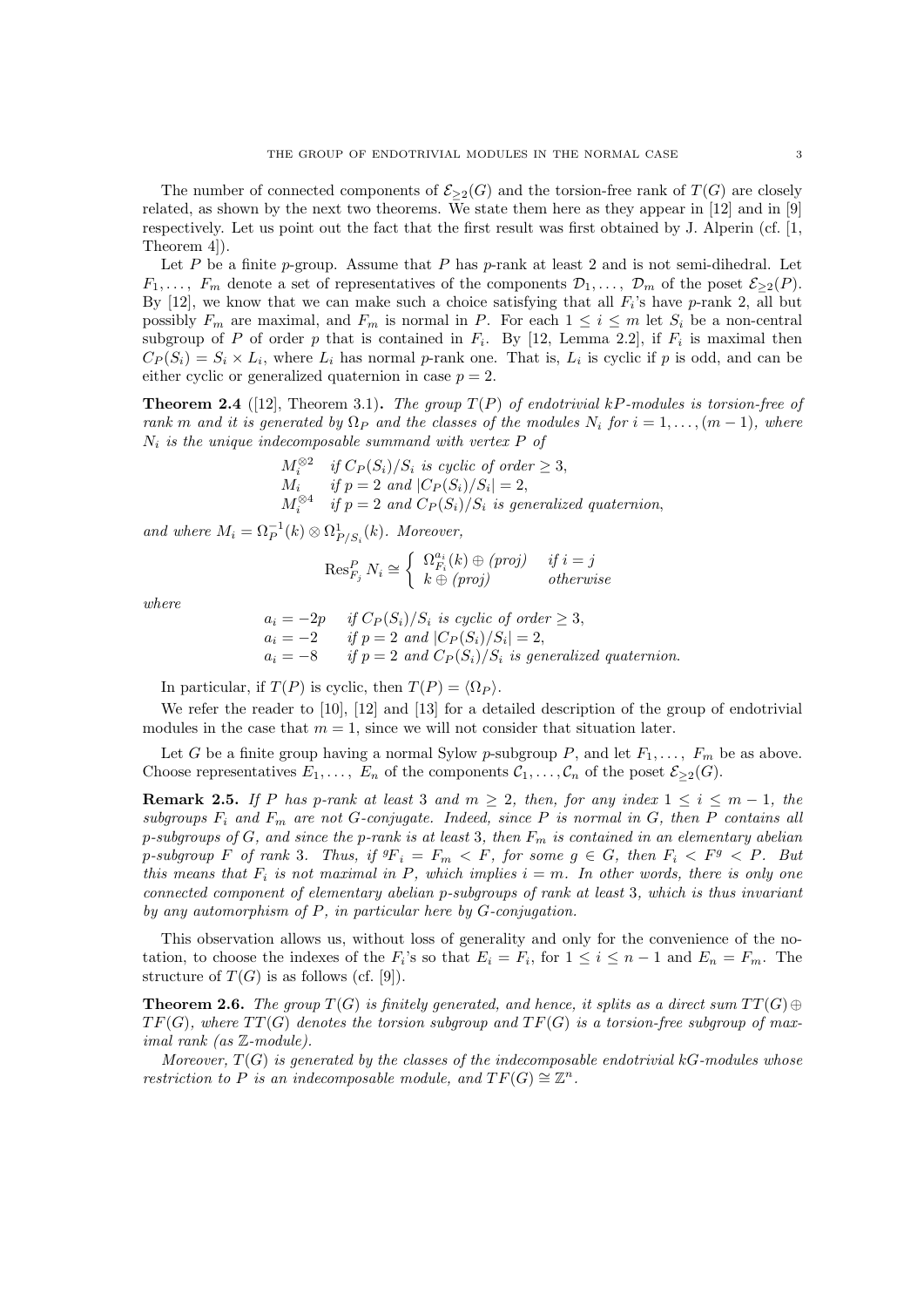The number of connected components of  $\mathcal{E}_{\geq 2}(G)$  and the torsion-free rank of  $T(G)$  are closely related, as shown by the next two theorems. We state them here as they appear in [12] and in [9] respectively. Let us point out the fact that the first result was first obtained by J. Alperin (cf. [1, Theorem 4]).

Let P be a finite p-group. Assume that P has p-rank at least 2 and is not semi-dihedral. Let  $F_1, \ldots, F_m$  denote a set of representatives of the components  $\mathcal{D}_1, \ldots, \mathcal{D}_m$  of the poset  $\mathcal{E}_{\geq 2}(P)$ . By  $[12]$ , we know that we can make such a choice satisfying that all  $F_i$ 's have p-rank 2, all but possibly  $F_m$  are maximal, and  $F_m$  is normal in P. For each  $1 \leq i \leq m$  let  $S_i$  be a non-central subgroup of P of order p that is contained in  $F_i$ . By [12, Lemma 2.2], if  $F_i$  is maximal then  $C_P(S_i) = S_i \times L_i$ , where  $L_i$  has normal p-rank one. That is,  $L_i$  is cyclic if p is odd, and can be either cyclic or generalized quaternion in case  $p = 2$ .

**Theorem 2.4** ([12], Theorem 3.1). The group  $T(P)$  of endotrivial kP-modules is torsion-free of rank m and it is generated by  $\Omega_P$  and the classes of the modules  $N_i$  for  $i = 1, \ldots, (m-1)$ , where  $N_i$  is the unique indecomposable summand with vertex  $P$  of

$$
M_i^{\otimes 2} \quad \text{if } C_P(S_i)/S_i \text{ is cyclic of order } \geq 3,
$$
  
\n
$$
M_i \quad \text{if } p = 2 \text{ and } |C_P(S_i)/S_i| = 2,
$$
  
\n
$$
M_i^{\otimes 4} \quad \text{if } p = 2 \text{ and } C_P(S_i)/S_i \text{ is generalized quaternion,}
$$

and where  $M_i = \Omega_P^{-1}(k) \otimes \Omega_{P/S_i}^1(k)$ . Moreover,

$$
\operatorname{Res}_{F_j}^P N_i \cong \left\{ \begin{array}{ll} \Omega_{F_i}^{a_i}(k) \oplus (proj) & if \ i = j \\ k \oplus (proj) & otherwise \end{array} \right.
$$

where

$$
a_i = -2p
$$
 if  $C_P(S_i)/S_i$  is cyclic of order  $\geq 3$ ,  
\n $a_i = -2$  if  $p = 2$  and  $|C_P(S_i)/S_i| = 2$ ,  
\n $a_i = -8$  if  $p = 2$  and  $C_P(S_i)/S_i$  is generalized quaternion.

In particular, if  $T(P)$  is cyclic, then  $T(P) = \langle \Omega_P \rangle$ .

We refer the reader to [10], [12] and [13] for a detailed description of the group of endotrivial modules in the case that  $m = 1$ , since we will not consider that situation later.

Let G be a finite group having a normal Sylow p-subgroup P, and let  $F_1, \ldots, F_m$  be as above. Choose representatives  $E_1, \ldots, E_n$  of the components  $C_1, \ldots, C_n$  of the poset  $\mathcal{E}_{\geq 2}(G)$ .

**Remark 2.5.** If P has p-rank at least 3 and  $m \geq 2$ , then, for any index  $1 \leq i \leq m-1$ , the subgroups  $F_i$  and  $F_m$  are not G-conjugate. Indeed, since P is normal in G, then P contains all p-subgroups of  $G$ , and since the p-rank is at least 3, then  $F_m$  is contained in an elementary abelian p-subgroup F of rank 3. Thus, if  ${}^g\!F_i = F_m \langle F,$  for some  $g \in G$ , then  $F_i \langle F^g \rangle F$ . But this means that  $F_i$  is not maximal in P, which implies  $i = m$ . In other words, there is only one connected component of elementary abelian p-subgroups of rank at least 3, which is thus invariant by any automorphism of P, in particular here by G-conjugation.

This observation allows us, without loss of generality and only for the convenience of the notation, to choose the indexes of the  $F_i$ 's so that  $E_i = F_i$ , for  $1 \leq i \leq n-1$  and  $E_n = F_m$ . The structure of  $T(G)$  is as follows (cf. [9]).

**Theorem 2.6.** The group  $T(G)$  is finitely generated, and hence, it splits as a direct sum  $TT(G) \oplus$  $TF(G)$ , where  $TT(G)$  denotes the torsion subgroup and  $TF(G)$  is a torsion-free subgroup of maximal rank (as Z-module).

Moreover,  $T(G)$  is generated by the classes of the indecomposable endotrivial kG-modules whose restriction to P is an indecomposable module, and  $TF(G) \cong \mathbb{Z}^n$ .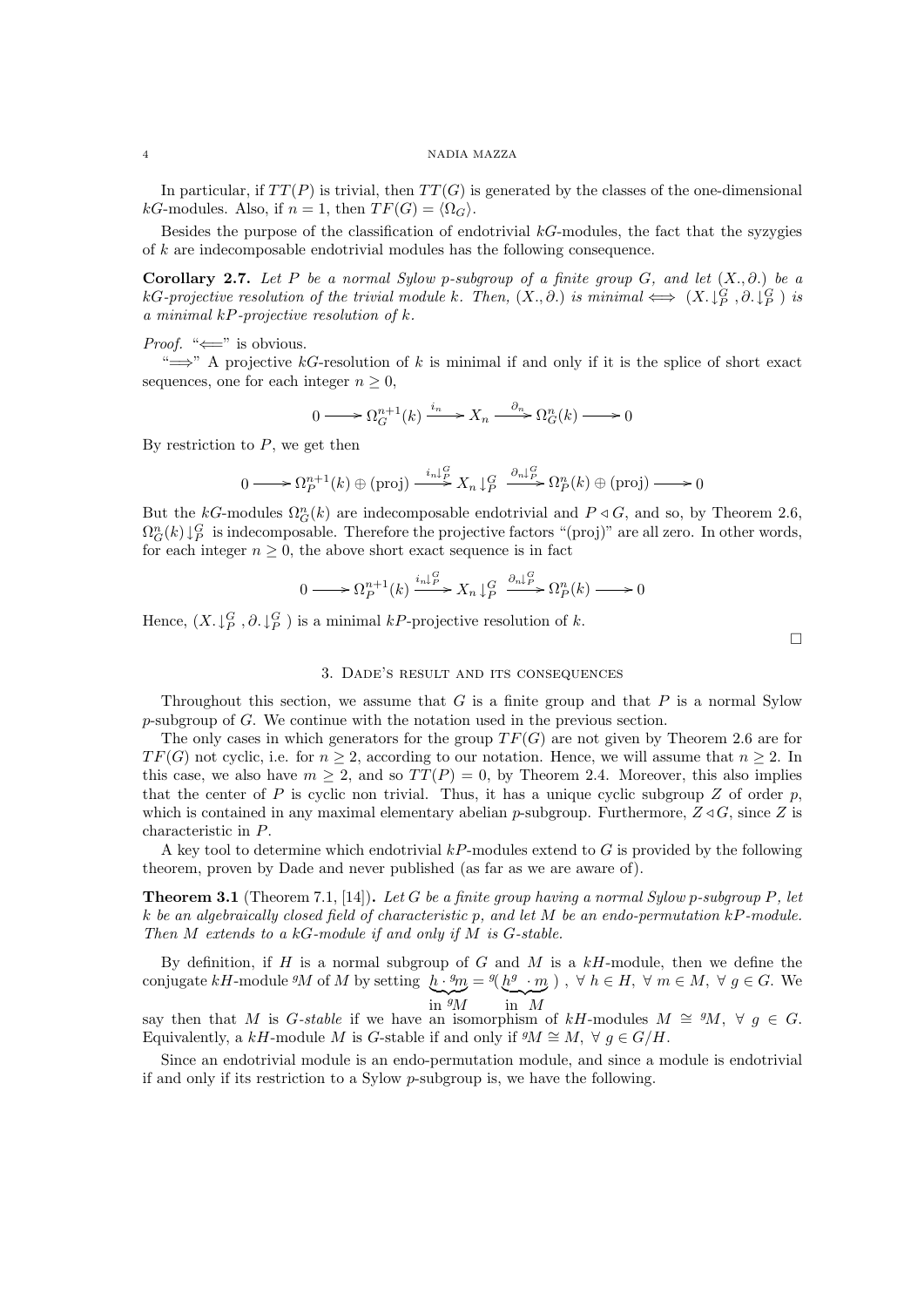In particular, if  $TT(P)$  is trivial, then  $TT(G)$  is generated by the classes of the one-dimensional kG-modules. Also, if  $n = 1$ , then  $TF(G) = \langle \Omega_G \rangle$ .

Besides the purpose of the classification of endotrivial  $k$ -modules, the fact that the syzygies of k are indecomposable endotrivial modules has the following consequence.

Corollary 2.7. Let P be a normal Sylow p-subgroup of a finite group G, and let  $(X, \partial)$  be a kG-projective resolution of the trivial module k. Then,  $(X, \partial.)$  is minimal  $\iff (X, \downarrow_P^G, \partial, \downarrow_P^G)$  is a minimal  $kP$ -projective resolution of  $k$ .

### *Proof.* " $\Longleftarrow$ " is obvious.

" $\implies$ " A projective kG-resolution of k is minimal if and only if it is the splice of short exact sequences, one for each integer  $n \geq 0$ ,

$$
0 \longrightarrow \Omega_G^{n+1}(k) \xrightarrow{i_n} X_n \longrightarrow \Omega_G^n(k) \longrightarrow 0
$$

By restriction to  $P$ , we get then

$$
0 \longrightarrow \Omega_P^{n+1}(k) \oplus (\text{proj}) \longrightarrow \mathop{\longrightarrow}^{i_n \downarrow \mathop{P}_{\mathop{\longrightarrow}}^{G}} X_n \downarrow_P^G \longrightarrow \Omega_P^n(k) \oplus (\text{proj}) \longrightarrow 0
$$

But the kG-modules  $\Omega_G^n(k)$  are indecomposable endotrivial and  $P \triangleleft G$ , and so, by Theorem 2.6,  $\Omega_G^n(k) \downarrow_P^G$  is indecomposable. Therefore the projective factors "(proj)" are all zero. In other words, for each integer  $n \geq 0$ , the above short exact sequence is in fact

$$
0 \longrightarrow \Omega_P^{n+1}(k) \xrightarrow{i_n \downarrow P} X_n \downarrow_P^G \xrightarrow{\partial_n \downarrow_P^G} \Omega_P^n(k) \longrightarrow 0
$$

Hence,  $(X, \downarrow_P^G, \partial, \downarrow_P^G)$  is a minimal kP-projective resolution of k.

# 3. Dade's result and its consequences

Throughout this section, we assume that G is a finite group and that P is a normal Sylow p-subgroup of G. We continue with the notation used in the previous section.

The only cases in which generators for the group  $TF(G)$  are not given by Theorem 2.6 are for  $TF(G)$  not cyclic, i.e. for  $n > 2$ , according to our notation. Hence, we will assume that  $n \geq 2$ . In this case, we also have  $m \geq 2$ , and so  $TT(P) = 0$ , by Theorem 2.4. Moreover, this also implies that the center of P is cyclic non trivial. Thus, it has a unique cyclic subgroup Z of order  $p$ , which is contained in any maximal elementary abelian p-subgroup. Furthermore,  $Z \triangleleft G$ , since Z is characteristic in P.

A key tool to determine which endotrivial  $kP$ -modules extend to G is provided by the following theorem, proven by Dade and never published (as far as we are aware of).

**Theorem 3.1** (Theorem 7.1, [14]). Let G be a finite group having a normal Sylow p-subgroup P, let k be an algebraically closed field of characteristic p, and let  $M$  be an endo-permutation kP-module. Then  $M$  extends to a  $kG$ -module if and only if  $M$  is  $G$ -stable.

By definition, if H is a normal subgroup of G and M is a  $k$ H-module, then we define the conjugate kH-module <sup>g</sup>M of M by setting  $h \cdot {}^g m = {}^g(h^g \cdot m)$ ,  $\forall h \in H$ ,  $\forall m \in M$ ,  $\forall g \in G$ . We  $\lim_{M} g_M$  $\sum_{\text{in }M}$ 

say then that M is G-stable if we have an isomorphism of kH-modules  $M \cong M$ ,  $\forall g \in G$ . Equivalently, a kH-module M is G-stable if and only if  $^gM \cong M$ ,  $\forall g \in G/H$ .

Since an endotrivial module is an endo-permutation module, and since a module is endotrivial if and only if its restriction to a Sylow p-subgroup is, we have the following.

 $\Box$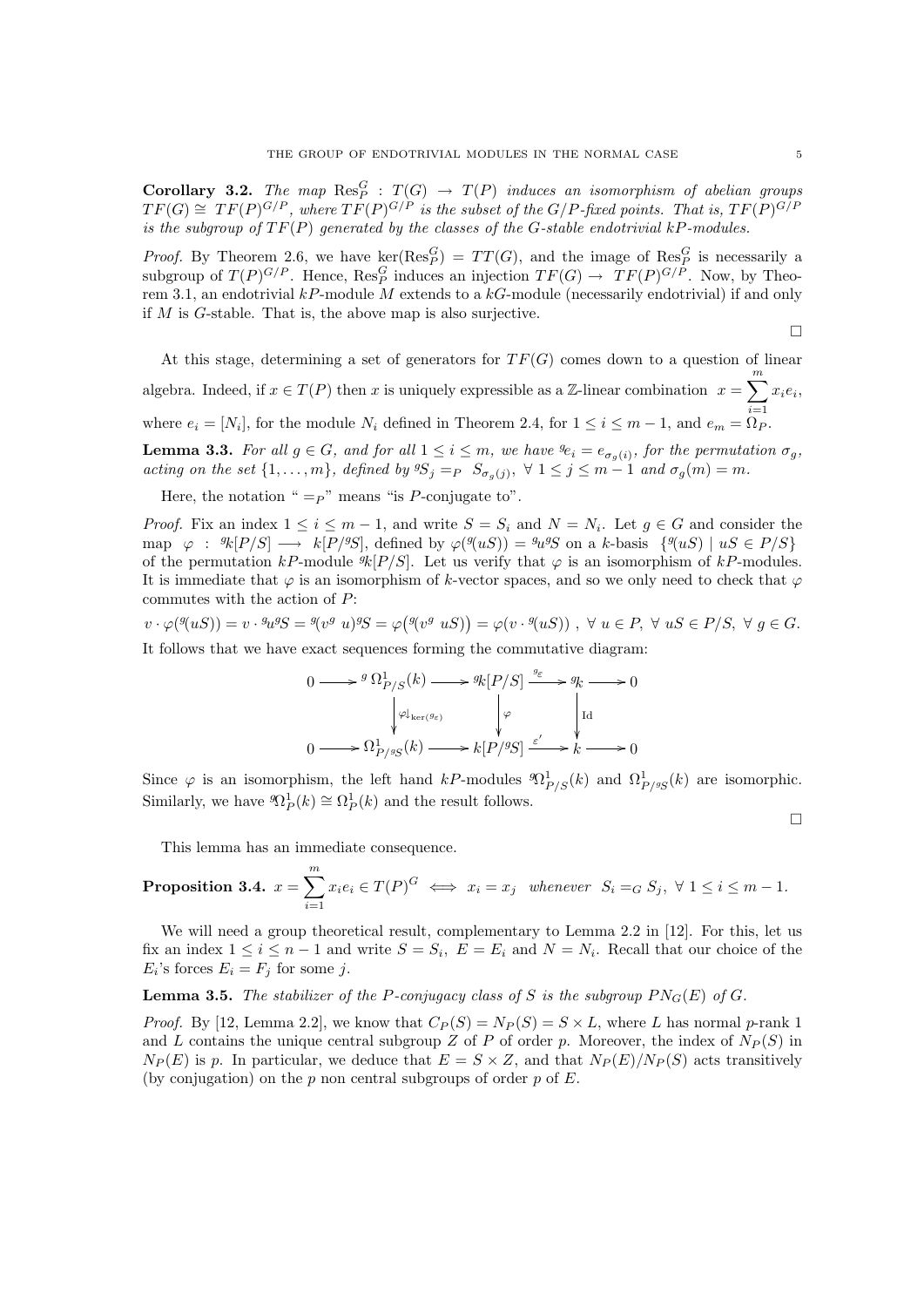**Corollary 3.2.** The map  $\text{Res}_P^G$  :  $T(G) \rightarrow T(P)$  induces an isomorphism of abelian groups  $TF(G) \cong TF(P)^{G/P}$ , where  $TF(P)^{G/P}$  is the subset of the  $G/P$ -fixed points. That is,  $TF(P)^{G/P}$ is the subgroup of  $TF(P)$  generated by the classes of the G-stable endotrivial kP-modules.

*Proof.* By Theorem 2.6, we have  $\ker(\text{Res}_P^G) = TT(G)$ , and the image of  $\text{Res}_P^G$  is necessarily a subgroup of  $T(P)^{G/P}$ . Hence,  $\text{Res}_P^G$  induces an injection  $TF(G) \to TF(P)^{G/P}$ . Now, by Theorem 3.1, an endotrivial  $kP$ -module M extends to a  $kG$ -module (necessarily endotrivial) if and only if M is G-stable. That is, the above map is also surjective.

 $\Box$ 

 $\Box$ 

At this stage, determining a set of generators for  $TF(G)$  comes down to a question of linear algebra. Indeed, if  $x \in T(P)$  then x is uniquely expressible as a Z-linear combination  $x = \sum_{i=1}^{m} x_i e_i$ where  $e_i = [N_i]$ , for the module  $N_i$  defined in Theorem 2.4, for  $1 \leq i \leq m-1$ , and  $e_m = \Omega_P$ .

**Lemma 3.3.** For all  $g \in G$ , and for all  $1 \leq i \leq m$ , we have  ${}^g e_i = e_{\sigma_g(i)}$ , for the permutation  $\sigma_g$ , acting on the set  $\{1,\ldots,m\}$ , defined by  ${}^gS_j =_P S_{\sigma_g(j)}, \forall 1 \leq j \leq m-1$  and  $\sigma_g(m) = m$ .

Here, the notation " $=p$ " means "is P-conjugate to".

*Proof.* Fix an index  $1 \leq i \leq m-1$ , and write  $S = S_i$  and  $N = N_i$ . Let  $g \in G$  and consider the map  $\varphi : \mathcal{R}[P/S] \longrightarrow k[P/\mathcal{S}],$  defined by  $\varphi(\mathcal{A}(uS)) = \mathcal{A} \mathcal{A} \mathcal{S}$  on a k-basis  $\{\mathcal{A}(uS) \mid uS \in P/S\}$ of the permutation kP-module  $\mathcal{R}[P/S]$ . Let us verify that  $\varphi$  is an isomorphism of kP-modules. It is immediate that  $\varphi$  is an isomorphism of k-vector spaces, and so we only need to check that  $\varphi$ commutes with the action of P:

 $v \cdot \varphi({}^g(uS)) = v \cdot {}^g u^g S = {}^g (v^g u)^g S = \varphi({}^g (v^g uS)) = \varphi(v \cdot {}^g (uS)) , \forall u \in P, \forall uS \in P/S, \forall g \in G.$ 

It follows that we have exact sequences forming the commutative diagram:

$$
0 \longrightarrow^{g} \Omega^1_{P/S}(k) \longrightarrow^{g} k[P/S] \xrightarrow{g_{\varepsilon}} g_k \longrightarrow 0
$$
  
\n
$$
\downarrow^{g} \downarrow^{g} \downarrow^{g} \qquad \qquad \downarrow^{g} \qquad \qquad \downarrow^{g}
$$
  
\n
$$
0 \longrightarrow \Omega^1_{P/SS}(k) \longrightarrow^{g} k[P/S] \xrightarrow{\varepsilon'} k \longrightarrow 0
$$

Since  $\varphi$  is an isomorphism, the left hand kP-modules  $\mathcal{D}_{P/S}^1(k)$  and  $\Omega_{P/S}^1(k)$  are isomorphic. Similarly, we have  ${}^g\Omega_P^1(k) \cong \Omega_P^1(k)$  and the result follows.

This lemma has an immediate consequence.

**Proposition 3.4.** 
$$
x = \sum_{i=1}^{m} x_i e_i \in T(P)^G \iff x_i = x_j
$$
 whenever  $S_i =_G S_j$ ,  $\forall 1 \le i \le m-1$ .

We will need a group theoretical result, complementary to Lemma 2.2 in [12]. For this, let us fix an index  $1 \leq i \leq n-1$  and write  $S = S_i$ ,  $E = E_i$  and  $N = N_i$ . Recall that our choice of the  $E_i$ 's forces  $E_i = F_j$  for some j.

**Lemma 3.5.** The stabilizer of the P-conjugacy class of S is the subgroup  $PN_G(E)$  of G.

*Proof.* By [12, Lemma 2.2], we know that  $C_P(S) = N_P(S) = S \times L$ , where L has normal p-rank 1 and L contains the unique central subgroup Z of P of order p. Moreover, the index of  $N_P(S)$  in  $N_P(E)$  is p. In particular, we deduce that  $E = S \times Z$ , and that  $N_P(E)/N_P(S)$  acts transitively (by conjugation) on the  $p$  non central subgroups of order  $p$  of  $E$ .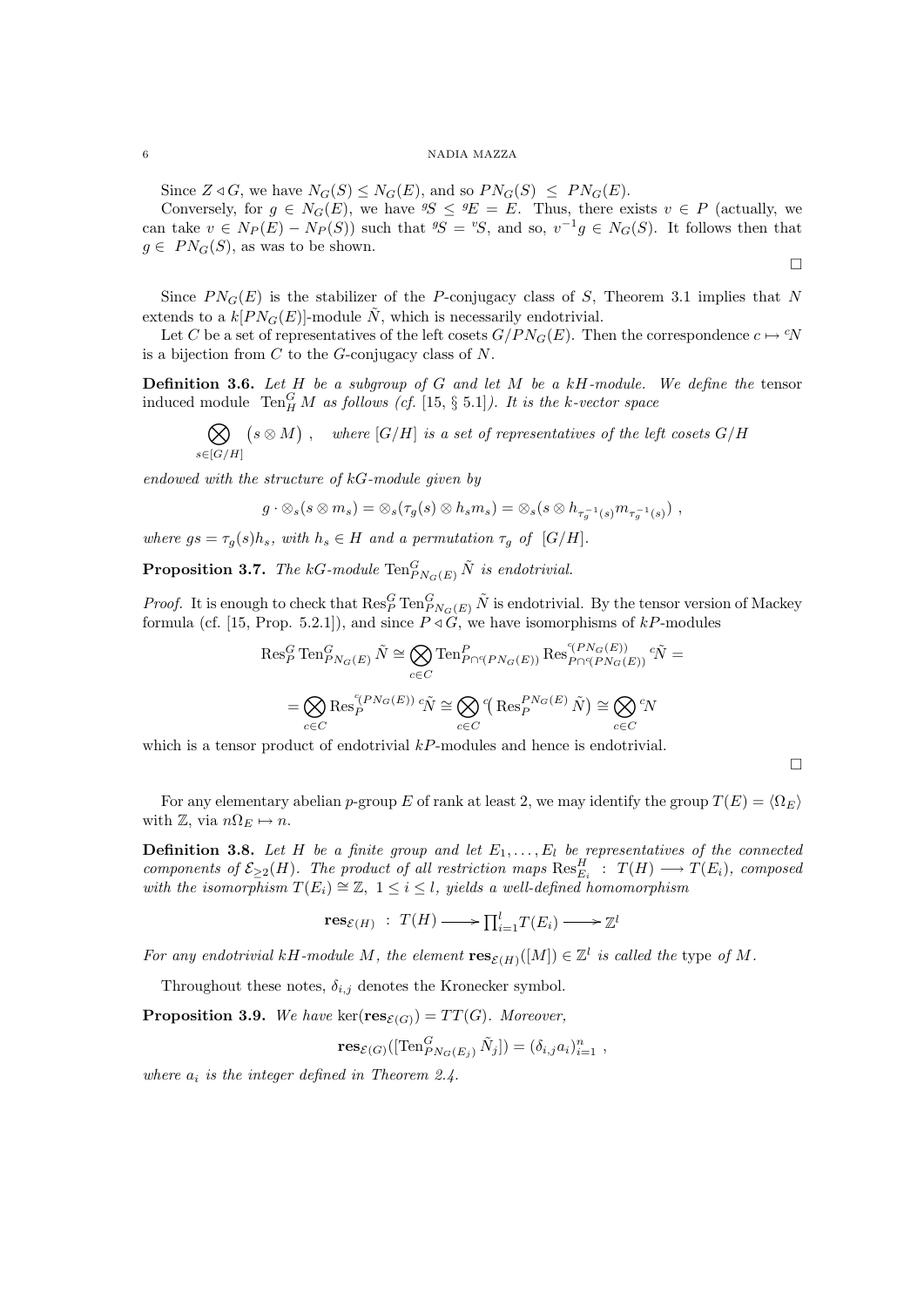Since  $Z \triangleleft G$ , we have  $N_G(S) \leq N_G(E)$ , and so  $PN_G(S) \leq PN_G(E)$ .

Conversely, for  $g \in N_G(E)$ , we have  ${}^gS \le {}^gE = E$ . Thus, there exists  $v \in P$  (actually, we can take  $v \in N_P(E) - N_P(S)$  such that  ${}^g \! S = {}^v \! S$ , and so,  $v^{-1} g \in N_G(S)$ . It follows then that  $g \in PN_G(S)$ , as was to be shown.

 $\Box$ 

Since  $PN_G(E)$  is the stabilizer of the P-conjugacy class of S, Theorem 3.1 implies that N extends to a  $k[PN_G(E)]$ -module N, which is necessarily endotrivial.

Let C be a set of representatives of the left cosets  $G/PN_G(E)$ . Then the correspondence  $c \mapsto N$ is a bijection from  $C$  to the  $G$ -conjugacy class of  $N$ .

**Definition 3.6.** Let  $H$  be a subgroup of  $G$  and let  $M$  be a  $kH$ -module. We define the tensor induced module  $\operatorname{Ten}^G_H M$  as follows (cf. [15, § 5.1]). It is the k-vector space

 $\otimes$  $s\in[G/H]$  $(s \otimes M)$ , where  $[G/H]$  is a set of representatives of the left cosets  $G/H$ 

endowed with the structure of kG-module given by

$$
g\cdot \otimes_s (s\otimes m_s)=\otimes_s(\tau_g(s)\otimes h_sm_s)=\otimes_s(s\otimes h_{\tau_g^{-1}(s)}m_{\tau_g^{-1}(s)})\;,
$$

where  $gs = \tau_q(s)h_s$ , with  $h_s \in H$  and a permutation  $\tau_q$  of  $[G/H]$ .

**Proposition 3.7.** The kG-module  $\text{Ten}_{PN_G(E)}^G \tilde{N}$  is endotrivial.

*Proof.* It is enough to check that  $\text{Res}_P^G \text{Ten}_{PN_G(E)}^G \tilde{N}$  is endotrivial. By the tensor version of Mackey formula (cf. [15, Prop. 5.2.1]), and since  $P \triangleleft G$ , we have isomorphisms of kP-modules

$$
\operatorname{Res}_{P}^{G} \operatorname{Ten}_{P N_{G}(E)}^{G} \tilde{N} \cong \bigotimes_{c \in C} \operatorname{Ten}_{P \cap {}^{c}(P N_{G}(E))}^{P} \operatorname{Res}_{P \cap {}^{c}(P N_{G}(E))}^{(r N_{G}(E))} {}^{c} \tilde{N} =
$$
  

$$
= \bigotimes_{c \in C} \operatorname{Res}_{P}^{\langle P N_{G}(E) \rangle} {}^{c} \tilde{N} \cong \bigotimes_{c \in C} {}^{c} \left( \operatorname{Res}_{P}^{\langle P N_{G}(E) \rangle} \tilde{N} \right) \cong \bigotimes_{c \in C} {}^{c} N
$$

which is a tensor product of endotrivial  $kP$ -modules and hence is endotrivial.

 $\Box$ 

For any elementary abelian p-group E of rank at least 2, we may identify the group  $T(E) = \langle \Omega_E \rangle$ with  $\mathbb{Z}$ , via  $n\Omega_E \mapsto n$ .

**Definition 3.8.** Let H be a finite group and let  $E_1, \ldots, E_l$  be representatives of the connected components of  $\mathcal{E}_{\geq 2}(H)$ . The product of all restriction maps  $\text{Res}_{E_i}^H$ :  $T(H) \longrightarrow T(E_i)$ , composed with the isomorphism  $T(E_i) \cong \mathbb{Z}$ ,  $1 \leq i \leq l$ , yields a well-defined homomorphism

 $res_{\mathcal{E}(H)} : T(H) \longrightarrow \prod_{i=1}^{l} T(E_i) \longrightarrow \mathbb{Z}^l$ 

For any endotrivial kH-module M, the element  $res_{\mathcal{E}(H)}([M]) \in \mathbb{Z}^l$  is called the type of M.

Throughout these notes,  $\delta_{i,j}$  denotes the Kronecker symbol.

**Proposition 3.9.** We have ker( $res_{\mathcal{E}(G)}$ ) =  $TT(G)$ . Moreover,

$$
\text{res}_{\mathcal{E}(G)}([\text{Ten}_{PN_G(E_j)}^G \tilde{N}_j]) = (\delta_{i,j} a_i)_{i=1}^n,
$$

where  $a_i$  is the integer defined in Theorem 2.4.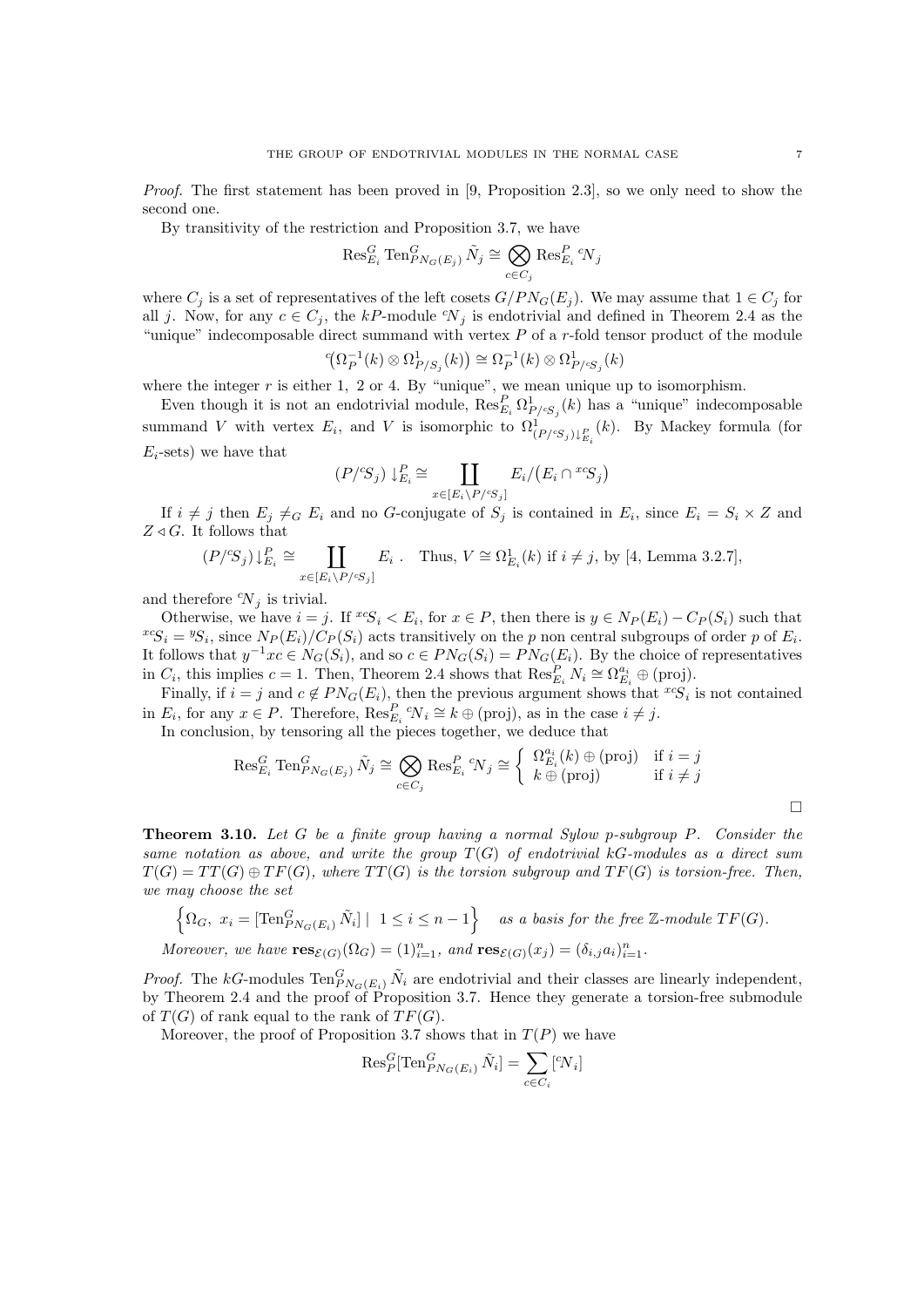Proof. The first statement has been proved in [9, Proposition 2.3], so we only need to show the second one.

By transitivity of the restriction and Proposition 3.7, we have

$$
\operatorname{Res}_{E_i}^G\operatorname{Ten}_{PN_G(E_j)}^G\tilde{N}_j\cong\bigotimes_{c\in C_j}\operatorname{Res}_{E_i}^P\ ^c\!N_j
$$

where  $C_j$  is a set of representatives of the left cosets  $G/PN_G(E_j)$ . We may assume that  $1 \in C_j$  for all j. Now, for any  $c \in C_i$ , the kP-module  $\gamma_i$  is endotrivial and defined in Theorem 2.4 as the "unique" indecomposable direct summand with vertex  $P$  of a r-fold tensor product of the module

$$
{}^c \! \left( \Omega_P^{-1}(k) \otimes \Omega^1_{P/S_j}(k) \right) \cong \Omega_P^{-1}(k) \otimes \Omega^1_{P/S_j}(k)
$$

where the integer  $r$  is either 1, 2 or 4. By "unique", we mean unique up to isomorphism.

Even though it is not an endotrivial module,  $\operatorname{Res}_{E_i}^P \Omega_{P/S_j}^1(k)$  has a "unique" indecomposable summand V with vertex  $E_i$ , and V is isomorphic to  $\Omega^1_{(P/\mathfrak{S}_j)\downarrow_{E_i}^P}(k)$ . By Mackey formula (for  $E_i$ -sets) we have that

$$
(P/S_j) \downarrow_{E_i}^P \cong \coprod_{x \in [E_i \setminus P/S_j]} E_i / (E_i \cap {^{x \circ}S_j})
$$

If  $i \neq j$  then  $E_j \neq_G E_i$  and no G-conjugate of  $S_j$  is contained in  $E_i$ , since  $E_i = S_i \times Z$  and  $Z \triangleleft G$ . It follows that

$$
(P/S_j) \downarrow_{E_i}^P \cong \coprod_{x \in [E_i \setminus P/\text{cs}_j]} E_i . \quad \text{Thus, } V \cong \Omega_{E_i}^1(k) \text{ if } i \neq j, \text{ by } [4, \text{ Lemma 3.2.7}],
$$

and therefore  ${}^c\!N_j$  is trivial.

Otherwise, we have  $i = j$ . If  ${}^{xc}S_i \lt E_i$ , for  $x \in P$ , then there is  $y \in N_P(E_i) - C_P(S_i)$  such that  ${}^{x}S_i = {}^{y}S_i$ , since  $N_P(E_i)/C_P(S_i)$  acts transitively on the p non central subgroups of order p of  $E_i$ . It follows that  $y^{-1}xc \in N_G(S_i)$ , and so  $c \in PN_G(S_i) = PN_G(E_i)$ . By the choice of representatives in  $C_i$ , this implies  $c = 1$ . Then, Theorem 2.4 shows that  $\operatorname{Res}_{E_i}^P N_i \cong \Omega_{E_i}^{a_i} \oplus (\text{proj}).$ 

Finally, if  $i = j$  and  $c \notin PN_G(E_i)$ , then the previous argument shows that  $^{x_c}S_i$  is not contained in  $E_i$ , for any  $x \in P$ . Therefore,  $\operatorname{Res}_{E_i}^P i X_i \cong k \oplus \text{(proj)}$ , as in the case  $i \neq j$ .

In conclusion, by tensoring all the pieces together, we deduce that

$$
\operatorname{Res}_{E_i}^G \operatorname{Ten}_{PN_G(E_j)}^G \tilde{N}_j \cong \bigotimes_{c \in C_j} \operatorname{Res}_{E_i}^P \, {}^c\!N_j \cong \left\{ \begin{array}{ll} \Omega_{E_i}^{a_i}(k) \oplus (\text{proj}) & \text{if } i = j \\ k \oplus (\text{proj}) & \text{if } i \neq j \end{array} \right.
$$

Theorem 3.10. Let G be a finite group having a normal Sylow p-subgroup P. Consider the same notation as above, and write the group  $T(G)$  of endotrivial kG-modules as a direct sum  $T(G) = TT(G) \oplus TF(G)$ , where  $TT(G)$  is the torsion subgroup and  $TF(G)$  is torsion-free. Then, we may choose the set

$$
\left\{\Omega_G, \ x_i = \left[\text{Ten}_{PN_G(E_i)}^G \tilde{N}_i\right] \mid 1 \le i \le n-1\right\} \quad \text{as a basis for the free } \mathbb{Z}\text{-module } TF(G).
$$

Moreover, we have  $res_{\mathcal{E}(G)}(\Omega_G) = (1)_{i=1}^n$ , and  $res_{\mathcal{E}(G)}(x_j) = (\delta_{i,j}a_i)_{i=1}^n$ .

*Proof.* The kG-modules  $\text{Ten}_{PN_G(E_i)}^G \tilde{N}_i$  are endotrivial and their classes are linearly independent, by Theorem 2.4 and the proof of Proposition 3.7. Hence they generate a torsion-free submodule of  $T(G)$  of rank equal to the rank of  $TF(G)$ .

Moreover, the proof of Proposition 3.7 shows that in  $T(P)$  we have

$$
\operatorname{Res}_{P}^{G}[\operatorname{Ten}_{PN_G(E_i)}^{G} \tilde{N}_i] = \sum_{c \in C_i} [{}^{c}N_i]
$$

 $\Box$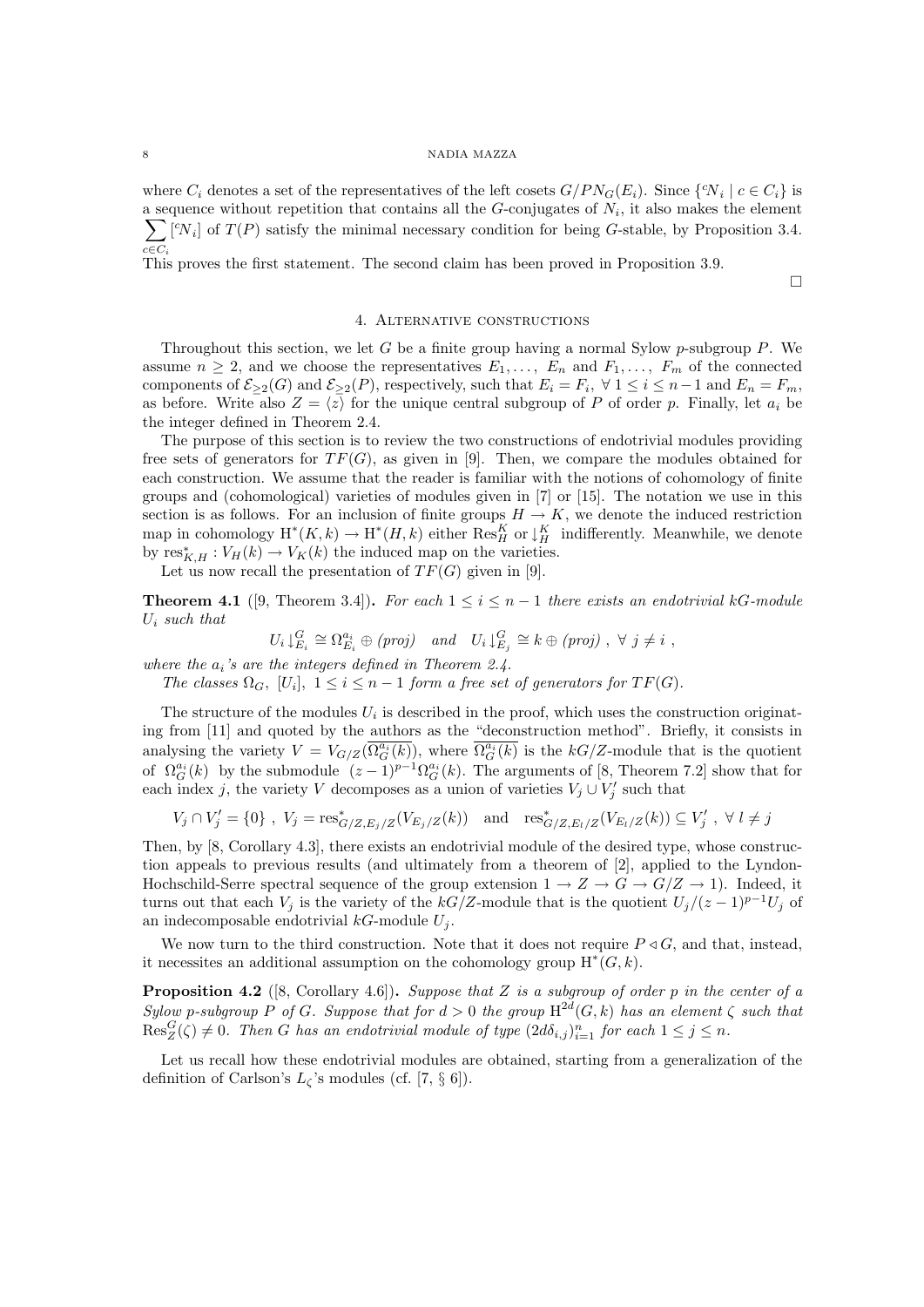where  $C_i$  denotes a set of the representatives of the left cosets  $G/PN_G(E_i)$ . Since  $\{N_i \mid c \in C_i\}$  is a sequence without repetition that contains all the  $G$ -conjugates of  $N_i$ , it also makes the element  $\sum [\,^c N_i]$  of  $T(P)$  satisfy the minimal necessary condition for being G-stable, by Proposition 3.4.  $c \in C_i$ 

This proves the first statement. The second claim has been proved in Proposition 3.9.

 $\Box$ 

## 4. Alternative constructions

Throughout this section, we let G be a finite group having a normal Sylow  $p$ -subgroup P. We assume  $n \geq 2$ , and we choose the representatives  $E_1, \ldots, E_n$  and  $F_1, \ldots, F_m$  of the connected components of  $\mathcal{E}_{\geq 2}(G)$  and  $\mathcal{E}_{\geq 2}(P)$ , respectively, such that  $E_i = F_i$ ,  $\forall 1 \leq i \leq n-1$  and  $E_n = F_m$ , as before. Write also  $Z = \langle z \rangle$  for the unique central subgroup of P of order p. Finally, let  $a_i$  be the integer defined in Theorem 2.4.

The purpose of this section is to review the two constructions of endotrivial modules providing free sets of generators for  $TF(G)$ , as given in [9]. Then, we compare the modules obtained for each construction. We assume that the reader is familiar with the notions of cohomology of finite groups and (cohomological) varieties of modules given in [7] or [15]. The notation we use in this section is as follows. For an inclusion of finite groups  $H \to K$ , we denote the induced restriction map in cohomology  $H^*(K, k) \to H^*(H, k)$  either  $\text{Res}^K_H$  or  $\downarrow^K_H$  indifferently. Meanwhile, we denote by  $\text{res}_{K,H}^* : V_H(k) \to V_K(k)$  the induced map on the varieties.

Let us now recall the presentation of  $TF(G)$  given in [9].

**Theorem 4.1** ([9, Theorem 3.4]). For each  $1 \leq i \leq n-1$  there exists an endotrivial kG-module  $U_i$  such that

$$
U_i \downarrow_{E_i}^G \cong \Omega_{E_i}^{a_i} \oplus (proj) \quad and \quad U_i \downarrow_{E_j}^G \cong k \oplus (proj) , \ \forall \ j \neq i ,
$$

where the  $a_i$ 's are the integers defined in Theorem 2.4.

The classes  $\Omega_G$ ,  $[U_i]$ ,  $1 \leq i \leq n-1$  form a free set of generators for  $TF(G)$ .

The structure of the modules  $U_i$  is described in the proof, which uses the construction originating from [11] and quoted by the authors as the "deconstruction method". Briefly, it consists in analysing the variety  $V = V_{G/Z}(\overline{\Omega_G^{a_i}(k)})$ , where  $\overline{\Omega_G^{a_i}(k)}$  is the kG/Z-module that is the quotient of  $\Omega_G^{a_i}(k)$  by the submodule  $(z-1)^{p-1}\Omega_G^{a_i}(k)$ . The arguments of [8, Theorem 7.2] show that for each index j, the variety V decomposes as a union of varieties  $V_j \cup V'_j$  such that

$$
V_j \cap V'_j = \{0\} , V_j = \text{res}_{G/Z, E_j/Z}^*(V_{E_j/Z}(k)) \text{ and } \text{res}_{G/Z, E_l/Z}^*(V_{E_l/Z}(k)) \subseteq V'_j , \forall l \neq j
$$

Then, by [8, Corollary 4.3], there exists an endotrivial module of the desired type, whose construction appeals to previous results (and ultimately from a theorem of [2], applied to the Lyndon-Hochschild-Serre spectral sequence of the group extension  $1 \to Z \to G \to G/Z \to 1$ ). Indeed, it turns out that each  $V_j$  is the variety of the kG/Z-module that is the quotient  $U_j/(z-1)^{p-1}U_j$  of an indecomposable endotrivial  $kG$ -module  $U_j$ .

We now turn to the third construction. Note that it does not require  $P \triangleleft G$ , and that, instead, it necessites an additional assumption on the cohomology group  $H^*(G, k)$ .

**Proposition 4.2** ([8, Corollary 4.6]). Suppose that Z is a subgroup of order p in the center of a Sylow p-subgroup P of G. Suppose that for  $d > 0$  the group  $H^{2d}(G, k)$  has an element  $\zeta$  such that  $\text{Res}_{Z}^{G}(\zeta) \neq 0$ . Then G has an endotrivial module of type  $(2d\delta_{i,j})_{i=1}^{n}$  for each  $1 \leq j \leq n$ .

Let us recall how these endotrivial modules are obtained, starting from a generalization of the definition of Carlson's  $L_{\zeta}$ 's modules (cf. [7, § 6]).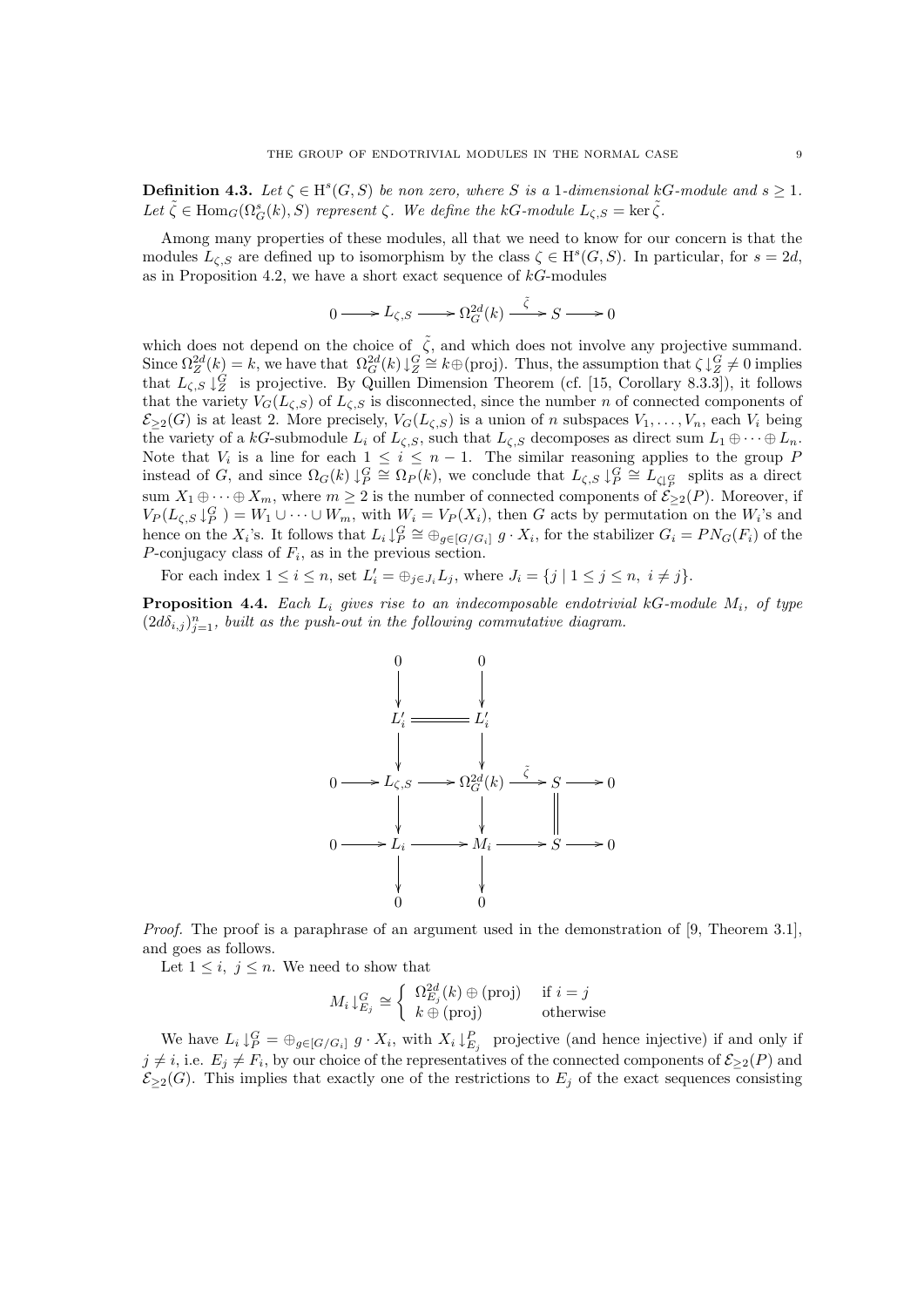**Definition 4.3.** Let  $\zeta \in H^s(G, S)$  be non zero, where S is a 1-dimensional kG-module and  $s \geq 1$ . Let  $\tilde{\zeta} \in \text{Hom}_G(\Omega_G^s(k), S)$  represent  $\zeta$ . We define the kG-module  $L_{\zeta,S} = \text{ker } \tilde{\zeta}$ .

Among many properties of these modules, all that we need to know for our concern is that the modules  $L_{\zeta,S}$  are defined up to isomorphism by the class  $\zeta \in H^s(G, S)$ . In particular, for  $s = 2d$ , as in Proposition 4.2, we have a short exact sequence of  $kG$ -modules

$$
0 \longrightarrow L_{\zeta,S} \longrightarrow \Omega_G^{2d}(k) \stackrel{\tilde{\zeta}}{\longrightarrow} S \longrightarrow 0
$$

which does not depend on the choice of  $\tilde{\zeta}$ , and which does not involve any projective summand. Since  $\Omega_Z^{2d}(k) = k$ , we have that  $\Omega_G^{2d}(k) \downarrow_Z^G \cong k \oplus \text{(proj)}$ . Thus, the assumption that  $\zeta \downarrow_Z^G \neq 0$  implies that  $L_{\zeta,S}\downarrow_Z^G$  is projective. By Quillen Dimension Theorem (cf. [15, Corollary 8.3.3]), it follows that the variety  $V_G(L_{\zeta,S})$  of  $L_{\zeta,S}$  is disconnected, since the number n of connected components of  $\mathcal{E}_{\geq 2}(G)$  is at least 2. More precisely,  $V_G(L_{\zeta,S})$  is a union of n subspaces  $V_1, \ldots, V_n$ , each  $V_i$  being the variety of a kG-submodule  $L_i$  of  $L_{\zeta,S}$ , such that  $L_{\zeta,S}$  decomposes as direct sum  $L_1 \oplus \cdots \oplus L_n$ . Note that  $V_i$  is a line for each  $1 \leq i \leq n-1$ . The similar reasoning applies to the group F instead of G, and since  $\Omega_G(k) \downarrow_P^G \cong \Omega_P(k)$ , we conclude that  $L_{\zeta,S} \downarrow_P^G \cong L_{\zeta\downarrow_E^G}$  splits as a direct sum  $X_1 \oplus \cdots \oplus X_m$ , where  $m \geq 2$  is the number of connected components of  $\mathcal{E}_{\geq 2}(P)$ . Moreover, if  $V_P(L_{\zeta,S}\downarrow_P^G) = W_1\cup\cdots\cup W_m$ , with  $W_i = V_P(X_i)$ , then G acts by permutation on the  $W_i$ 's and hence on the  $X_i$ 's. It follows that  $L_i \downarrow_P^G \cong \bigoplus_{g \in [G/G_i]} g \cdot X_i$ , for the stabilizer  $G_i = PN_G(F_i)$  of the P-conjugacy class of  $F_i$ , as in the previous section.

For each index  $1 \leq i \leq n$ , set  $L'_i = \bigoplus_{j \in J_i} L_j$ , where  $J_i = \{j \mid 1 \leq j \leq n, i \neq j\}$ .

**Proposition 4.4.** Each  $L_i$  gives rise to an indecomposable endotrivial kG-module  $M_i$ , of type  $(2d\delta_{i,j})_{j=1}^n$ , built as the push-out in the following commutative diagram.



Proof. The proof is a paraphrase of an argument used in the demonstration of [9, Theorem 3.1], and goes as follows.

Let  $1 \leq i, j \leq n$ . We need to show that

$$
M_i \downarrow_{E_j}^G \cong \left\{ \begin{array}{ll} \Omega_{E_j}^{2d}(k) \oplus (\text{proj}) & \text{if } i = j \\ k \oplus (\text{proj}) & \text{otherwise} \end{array} \right.
$$

We have  $L_i \downarrow_P^G = \bigoplus_{g \in [G/G_i]} g \cdot X_i$ , with  $X_i \downarrow_{E_j}^P$  projective (and hence injective) if and only if  $j \neq i$ , i.e.  $E_j \neq F_i$ , by our choice of the representatives of the connected components of  $\mathcal{E}_{\geq 2}(P)$  and  $\mathcal{E}_{\geq 2}(G)$ . This implies that exactly one of the restrictions to  $E_j$  of the exact sequences consisting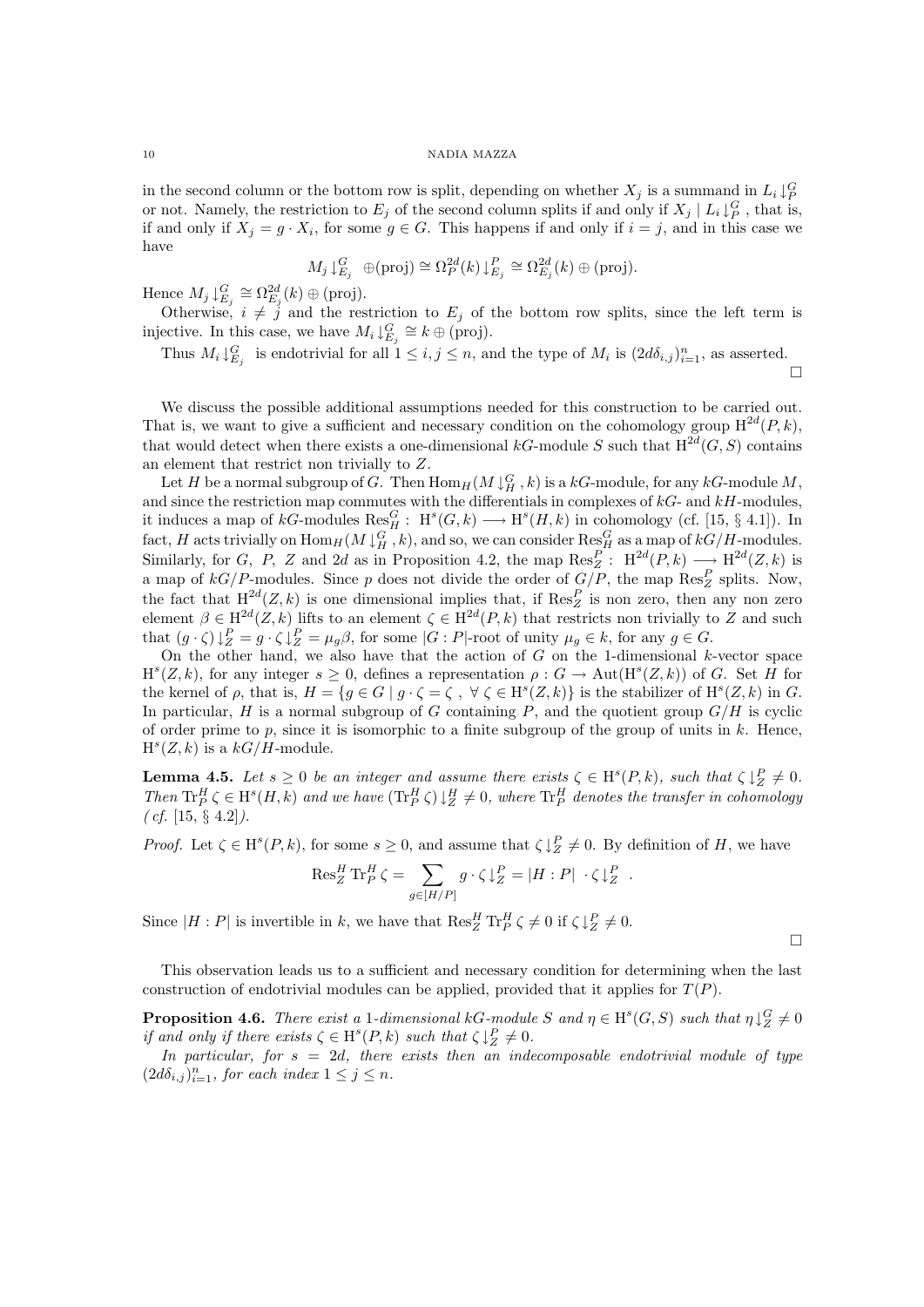in the second column or the bottom row is split, depending on whether  $X_j$  is a summand in  $L_i \downarrow_P^G$ or not. Namely, the restriction to  $E_j$  of the second column splits if and only if  $X_j \mid L_i \downarrow_P^G$ , that is, if and only if  $X_j = g \cdot X_i$ , for some  $g \in G$ . This happens if and only if  $i = j$ , and in this case we have

$$
M_j \downarrow_{E_j}^G \oplus (\text{proj}) \cong \Omega_P^{2d}(k) \downarrow_{E_j}^P \cong \Omega_{E_j}^{2d}(k) \oplus (\text{proj}).
$$

Hence  $M_j \downarrow_{E_j}^G \cong \Omega_{E_j}^{2d}(k) \oplus \text{(proj)}$ .

Otherwise,  $i \neq j$  and the restriction to  $E_j$  of the bottom row splits, since the left term is injective. In this case, we have  $M_i \downarrow_{E_j}^G \cong k \oplus$  (proj).

Thus  $M_i \downarrow_{E_j}^G$  is endotrivial for all  $1 \leq i, j \leq n$ , and the type of  $M_i$  is  $(2d\delta_{i,j})_{i=1}^n$ , as asserted.  $\Box$ 

We discuss the possible additional assumptions needed for this construction to be carried out. That is, we want to give a sufficient and necessary condition on the cohomology group  $H^{2d}(P, k)$ , that would detect when there exists a one-dimensional kG-module S such that  $H^{2d}(G, S)$  contains an element that restrict non trivially to Z.

Let H be a normal subgroup of G. Then  $\text{Hom}_H(M\downarrow^G_H,k)$  is a  $kG\text{-module}$ , for any  $kG\text{-module}$ . and since the restriction map commutes with the differentials in complexes of  $kG$ - and  $kH$ -modules, it induces a map of  $kG$ -modules  $\text{Res}_{H}^{G}$ :  $H^{s}(G, k) \longrightarrow H^{s}(H, k)$  in cohomology (cf. [15, § 4.1]). In fact, H acts trivially on  $\text{Hom}_H(M\downarrow^G_H, k)$ , and so, we can consider  $\text{Res}^G_H$  as a map of  $kG/H$ -modules. Similarly, for G, P, Z and 2d as in Proposition 4.2, the map  $\text{Res}_{Z}^{P}$ :  $\text{H}^{2d}(P,k) \longrightarrow \text{H}^{2d}(Z,k)$  is a map of  $kG/P$ -modules. Since p does not divide the order of  $G/P$ , the map  $\text{Res}_Z^P$  splits. Now, the fact that  $H^{2d}(Z, k)$  is one dimensional implies that, if  $\text{Res}_{Z}^{P}$  is non zero, then any non zero element  $\beta \in H^{2d}(Z, k)$  lifts to an element  $\zeta \in H^{2d}(P, k)$  that restricts non trivially to Z and such that  $(g \cdot \zeta) \downarrow_Z^P = g \cdot \zeta \downarrow_Z^P = \mu_g \beta$ , for some  $|G : P|$ -root of unity  $\mu_g \in k$ , for any  $g \in G$ .

On the other hand, we also have that the action of  $G$  on the 1-dimensional k-vector space  $H^{s}(Z, k)$ , for any integer  $s \geq 0$ , defines a representation  $\rho : G \to \text{Aut}(H^{s}(Z, k))$  of G. Set H for the kernel of  $\rho$ , that is,  $H = \{ g \in G \mid g \cdot \zeta = \zeta, \forall \zeta \in H^s(Z, k) \}$  is the stabilizer of  $H^s(Z, k)$  in G. In particular,  $H$  is a normal subgroup of  $G$  containing  $P$ , and the quotient group  $G/H$  is cyclic of order prime to p, since it is isomorphic to a finite subgroup of the group of units in  $k$ . Hence,  $H<sup>s</sup>(Z, k)$  is a  $kG/H$ -module.

**Lemma 4.5.** Let  $s \geq 0$  be an integer and assume there exists  $\zeta \in H^s(P, k)$ , such that  $\zeta \downarrow_Z^P \neq 0$ . Then  $\text{Tr}^H_P \zeta \in H^s(H, k)$  and we have  $(\text{Tr}^H_P \zeta) \downarrow_Z^H \neq 0$ , where  $\text{Tr}^H_P$  denotes the transfer in cohomology  $(cf. [15, § 4.2]).$ 

*Proof.* Let  $\zeta \in H^s(P, k)$ , for some  $s \geq 0$ , and assume that  $\zeta \downarrow_Z^P \neq 0$ . By definition of H, we have

$$
\operatorname{Res}^H_Z \operatorname{Tr}^H_P \zeta = \sum_{g \in [H/P]} g \cdot \zeta \downarrow_Z^P = |H : P| \cdot \zeta \downarrow_Z^P.
$$

Since  $|H : P|$  is invertible in k, we have that  $\text{Res}_{Z}^{H} \text{Tr}_{P}^{H} \zeta \neq 0$  if  $\zeta \downarrow_{Z}^{P} \neq 0$ .

This observation leads us to a sufficient and necessary condition for determining when the last construction of endotrivial modules can be applied, provided that it applies for  $T(P)$ .

**Proposition 4.6.** There exist a 1-dimensional kG-module S and  $\eta \in H^s(G, S)$  such that  $\eta \downarrow^G_Z \neq 0$ if and only if there exists  $\zeta \in H^s(P, k)$  such that  $\zeta \downarrow_Z^P \neq 0$ .

In particular, for  $s = 2d$ , there exists then an indecomposable endotrivial module of type  $(2d\delta_{i,j})_{i=1}^n$ , for each index  $1 \leq j \leq n$ .

 $\Box$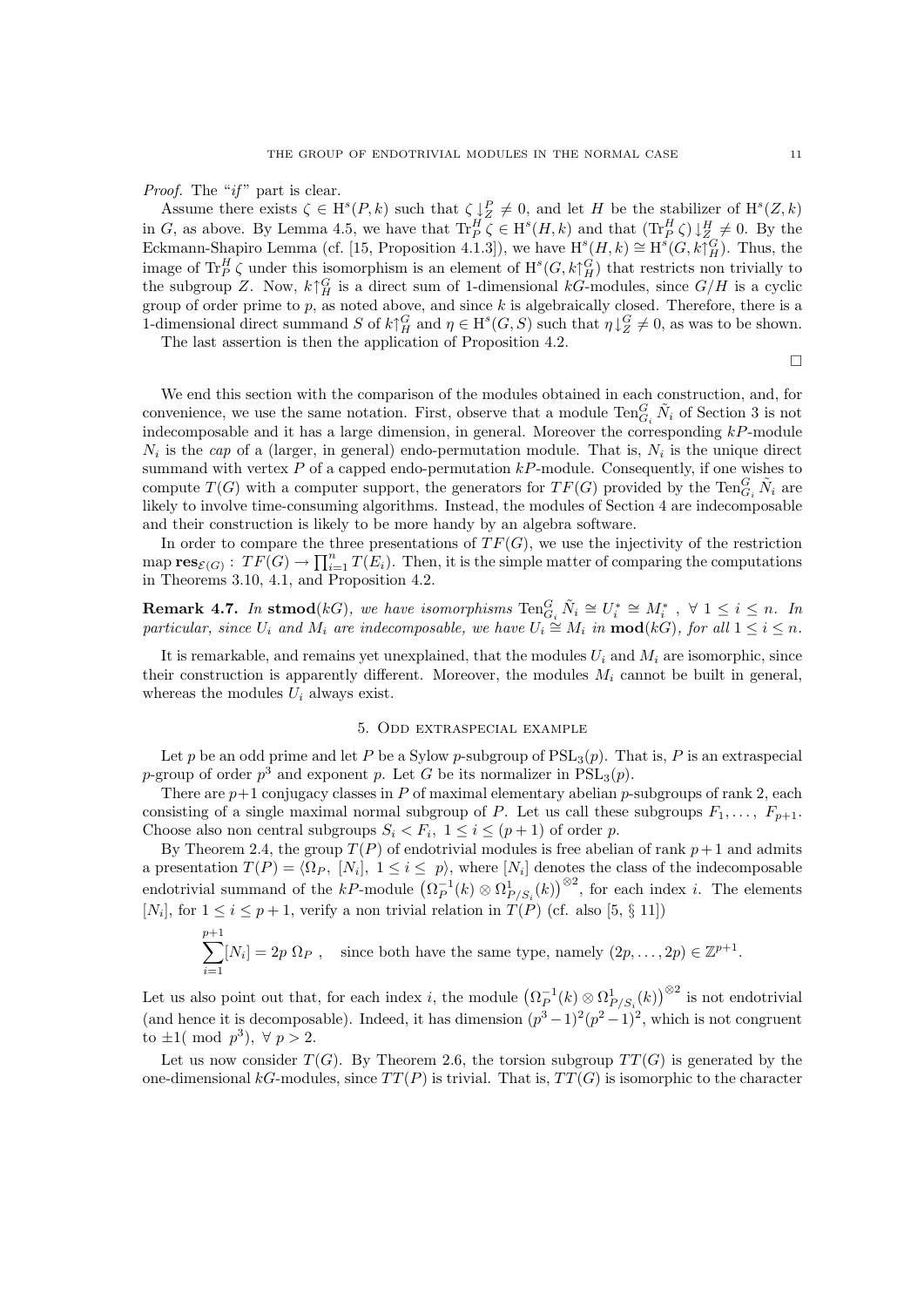*Proof.* The " $if$ " part is clear.

Assume there exists  $\zeta \in H^s(P,k)$  such that  $\zeta \downarrow_Z^P \neq 0$ , and let H be the stabilizer of  $H^s(Z,k)$ in G, as above. By Lemma 4.5, we have that  $\operatorname{Tr}^H_P \zeta \in H^s(H,k)$  and that  $(\operatorname{Tr}^H_P \zeta) \downarrow^H_Z \neq 0$ . By the Eckmann-Shapiro Lemma (cf. [15, Proposition 4.1.3]), we have  $H^s(H, k) \cong H^s(G, k\uparrow^G_H)$ . Thus, the image of Tr<sup>H</sup><sub>P</sub> $\zeta$  under this isomorphism is an element of  $H^s(G, k\uparrow^G_H)$  that restricts non trivially to the subgroup Z. Now,  $k \uparrow^G_H$  is a direct sum of 1-dimensional kG-modules, since  $G/H$  is a cyclic group of order prime to  $p$ , as noted above, and since  $k$  is algebraically closed. Therefore, there is a 1-dimensional direct summand S of  $k \uparrow^G_H$  and  $\eta \in H^s(G, S)$  such that  $\eta \downarrow^G_Z \neq 0$ , as was to be shown.

The last assertion is then the application of Proposition 4.2.

 $\Box$ 

We end this section with the comparison of the modules obtained in each construction, and, for convenience, we use the same notation. First, observe that a module  $\text{Ten}_{G_i}^G \tilde{N}_i$  of Section 3 is not indecomposable and it has a large dimension, in general. Moreover the corresponding  $kP$ -module  $N_i$  is the cap of a (larger, in general) endo-permutation module. That is,  $N_i$  is the unique direct summand with vertex  $P$  of a capped endo-permutation  $kP$ -module. Consequently, if one wishes to compute  $T(G)$  with a computer support, the generators for  $TF(G)$  provided by the  $\text{Ten}_{G_i}^G \tilde{N}_i$  are likely to involve time-consuming algorithms. Instead, the modules of Section 4 are indecomposable and their construction is likely to be more handy by an algebra software.

In order to compare the three presentations of  $TF(G)$ , we use the injectivity of the restriction map  $res_{\mathcal{E}(G)}: TF(G) \to \prod_{i=1}^{n} T(E_i)$ . Then, it is the simple matter of comparing the computations in Theorems 3.10, 4.1, and Proposition 4.2.

**Remark 4.7.** In stmod(kG), we have isomorphisms  $\text{Ten}_{G_i}^G \tilde{N}_i \cong U_i^* \cong M_i^*$ ,  $\forall$   $1 \leq i \leq n$ . In particular, since  $U_i$  and  $\dot{M}_i$  are indecomposable, we have  $U_i \cong M_i$  in  $\text{mod}(k)$ , for all  $1 \leq i \leq n$ .

It is remarkable, and remains yet unexplained, that the modules  $U_i$  and  $M_i$  are isomorphic, since their construction is apparently different. Moreover, the modules  $M_i$  cannot be built in general, whereas the modules  $U_i$  always exist.

## 5. Odd extraspecial example

Let p be an odd prime and let P be a Sylow p-subgroup of  $PSL<sub>3</sub>(p)$ . That is, P is an extraspecial p-group of order  $p^3$  and exponent p. Let G be its normalizer in  $PSL_3(p)$ .

There are  $p+1$  conjugacy classes in P of maximal elementary abelian p-subgroups of rank 2, each consisting of a single maximal normal subgroup of P. Let us call these subgroups  $F_1, \ldots, F_{p+1}$ . Choose also non central subgroups  $S_i \leq F_i$ ,  $1 \leq i \leq (p+1)$  of order p.

By Theorem 2.4, the group  $T(P)$  of endotrivial modules is free abelian of rank  $p+1$  and admits a presentation  $T(P) = \langle \Omega_P, [N_i], 1 \le i \le p \rangle$ , where  $[N_i]$  denotes the class of the indecomposable endotrivial summand of the  $kP$ -module  $(\Omega_P^{-1}(k) \otimes \Omega_{P/S_i}^1(k))^{\otimes 2}$ , for each index *i*. The elements [ $N_i$ ], for  $1 \le i \le p+1$ , verify a non trivial relation in  $T(P)$  (cf. also [5, § 11])

$$
\sum_{i=1}^{p+1} [N_i] = 2p \Omega_P , \text{ since both have the same type, namely } (2p, \dots, 2p) \in \mathbb{Z}^{p+1}.
$$

Let us also point out that, for each index *i*, the module  $(\Omega_P^{-1}(k) \otimes \Omega_{P/S_i}^1(k))^{\otimes 2}$  is not endotrivial (and hence it is decomposable). Indeed, it has dimension  $(p^3-1)^2(p^2-1)^2$ , which is not congruent to  $\pm 1$ (mod  $p^3$ ),  $\forall p > 2$ .

Let us now consider  $T(G)$ . By Theorem 2.6, the torsion subgroup  $TT(G)$  is generated by the one-dimensional  $kG$ -modules, since  $TT(P)$  is trivial. That is,  $TT(G)$  is isomorphic to the character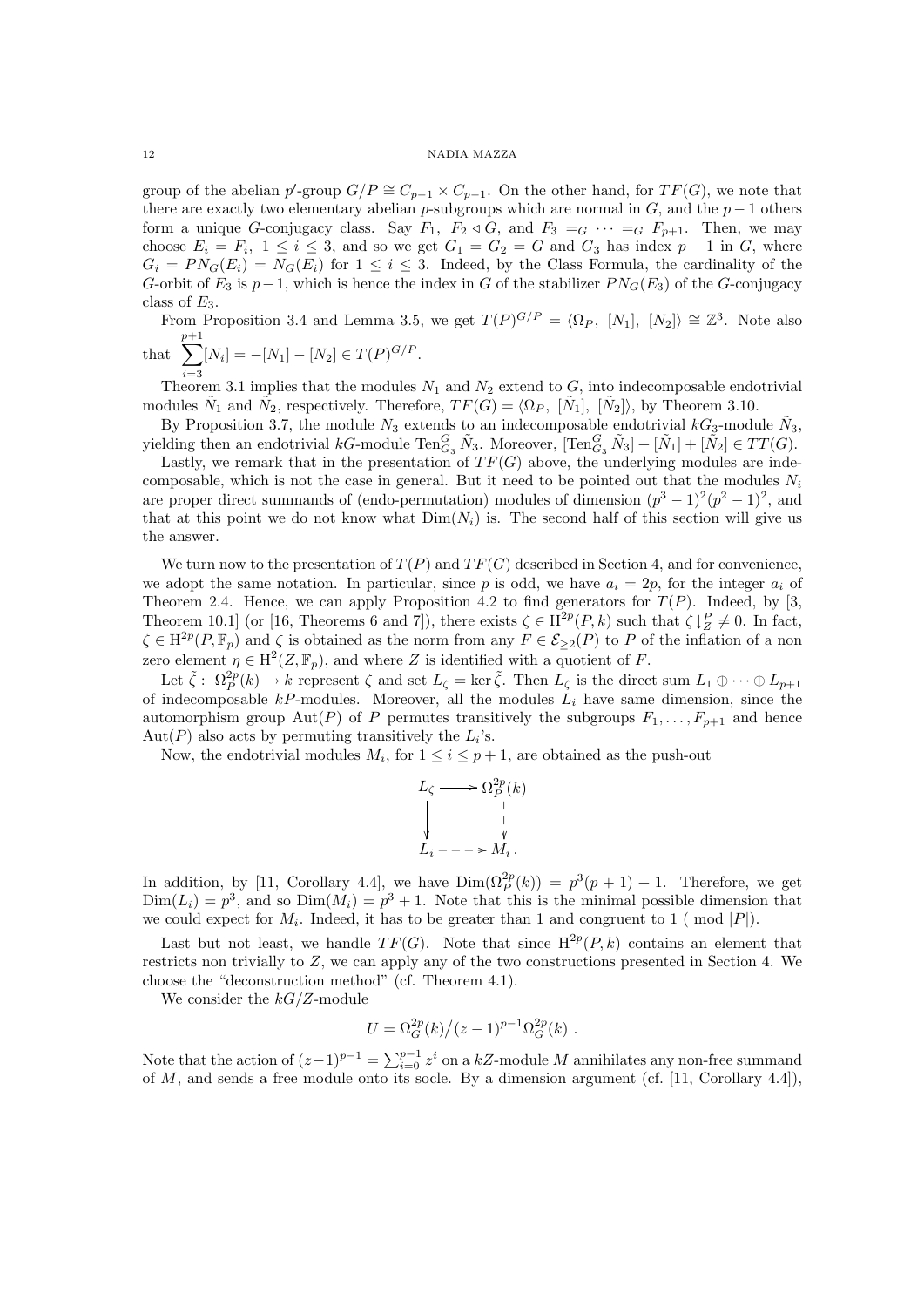group of the abelian p'-group  $G/P \cong C_{p-1} \times C_{p-1}$ . On the other hand, for  $TF(G)$ , we note that there are exactly two elementary abelian p-subgroups which are normal in  $G$ , and the  $p-1$  others form a unique G-conjugacy class. Say  $F_1$ ,  $F_2 \triangleleft G$ , and  $F_3 =_G \cdots =_G F_{p+1}$ . Then, we may choose  $E_i = F_i$ ,  $1 \le i \le 3$ , and so we get  $G_1 = G_2 = G$  and  $G_3$  has index  $p-1$  in G, where  $G_i = PN_G(E_i) = N_G(E_i)$  for  $1 \leq i \leq 3$ . Indeed, by the Class Formula, the cardinality of the G-orbit of  $E_3$  is  $p-1$ , which is hence the index in G of the stabilizer  $PN_G(E_3)$  of the G-conjugacy class of  $E_3$ .

From Proposition 3.4 and Lemma 3.5, we get  $T(P)^{G/P} = \langle \Omega_P, [N_1], [N_2] \rangle \cong \mathbb{Z}^3$ . Note also that  $\sum_{n=1}^{p+1}$  $[N_i] = -[N_1] - [N_2] \in T(P)^{G/P}.$ 

 $i=3$ Theorem 3.1 implies that the modules  $N_1$  and  $N_2$  extend to G, into indecomposable endotrivial modules  $\tilde{N}_1$  and  $\tilde{N}_2$ , respectively. Therefore,  $TF(G) = \langle \Omega_P, [\tilde{N}_1], [\tilde{N}_2] \rangle$ , by Theorem 3.10.

By Proposition 3.7, the module  $N_3$  extends to an indecomposable endotrivial  $kG_3$ -module  $\tilde{N}_3$ , yielding then an endotrivial  $kG$ -module  $\text{Ten}_{G_3}^G \tilde{N}_3$ . Moreover,  $[\text{Ten}_{G_3}^G \tilde{N}_3] + [\tilde{N}_1] + [\tilde{N}_2] \in TT(G)$ .

Lastly, we remark that in the presentation of  $TF(G)$  above, the underlying modules are indecomposable, which is not the case in general. But it need to be pointed out that the modules  $N_i$ are proper direct summands of (endo-permutation) modules of dimension  $(p^3 - 1)^2(p^2 - 1)^2$ , and that at this point we do not know what  $Dim(N_i)$  is. The second half of this section will give us the answer.

We turn now to the presentation of  $T(P)$  and  $TF(G)$  described in Section 4, and for convenience, we adopt the same notation. In particular, since p is odd, we have  $a_i = 2p$ , for the integer  $a_i$  of Theorem 2.4. Hence, we can apply Proposition 4.2 to find generators for  $T(P)$ . Indeed, by [3, Theorem 10.1] (or [16, Theorems 6 and 7]), there exists  $\zeta \in H^{2p}(P,k)$  such that  $\zeta \downarrow_Z^P \neq 0$ . In fact,  $\zeta \in H^{2p}(P, \mathbb{F}_p)$  and  $\zeta$  is obtained as the norm from any  $F \in \mathcal{E}_{\geq 2}(P)$  to P of the inflation of a non zero element  $\eta \in H^2(Z, \mathbb{F}_p)$ , and where Z is identified with a quotient of F.

Let  $\tilde{\zeta}$ :  $\Omega_P^{2p}(k) \to k$  represent  $\zeta$  and set  $L_{\zeta} = \ker \tilde{\zeta}$ . Then  $L_{\zeta}$  is the direct sum  $L_1 \oplus \cdots \oplus L_{p+1}$ of indecomposable  $kP$ -modules. Moreover, all the modules  $L_i$  have same dimension, since the automorphism group Aut(P) of P permutes transitively the subgroups  $F_1, \ldots, F_{p+1}$  and hence Aut(P) also acts by permuting transitively the  $L_i$ 's.

Now, the endotrivial modules  $M_i$ , for  $1 \leq i \leq p+1$ , are obtained as the push-out

$$
L_{\zeta} \longrightarrow \Omega_{P}^{2p}(k)
$$
  
\n
$$
\downarrow \qquad \qquad \downarrow
$$
  
\n
$$
L_{i} --- \rightarrow M_{i}.
$$

In addition, by [11, Corollary 4.4], we have  $Dim(\Omega_P^{2p}(k)) = p^3(p+1) + 1$ . Therefore, we get  $Dim(L_i) = p^3$ , and so  $Dim(M_i) = p^3 + 1$ . Note that this is the minimal possible dimension that we could expect for  $M_i$ . Indeed, it has to be greater than 1 and congruent to 1 (mod |P|).

Last but not least, we handle  $TF(G)$ . Note that since  $H^{2p}(P, k)$  contains an element that restricts non trivially to Z, we can apply any of the two constructions presented in Section 4. We choose the "deconstruction method" (cf. Theorem 4.1).

We consider the  $kG/Z$ -module

$$
U = \Omega_G^{2p}(k)/(z-1)^{p-1} \Omega_G^{2p}(k) .
$$

Note that the action of  $(z-1)^{p-1} = \sum_{i=0}^{p-1} z^i$  on a kZ-module M annihilates any non-free summand of  $M$ , and sends a free module onto its socle. By a dimension argument (cf. [11, Corollary 4.4]),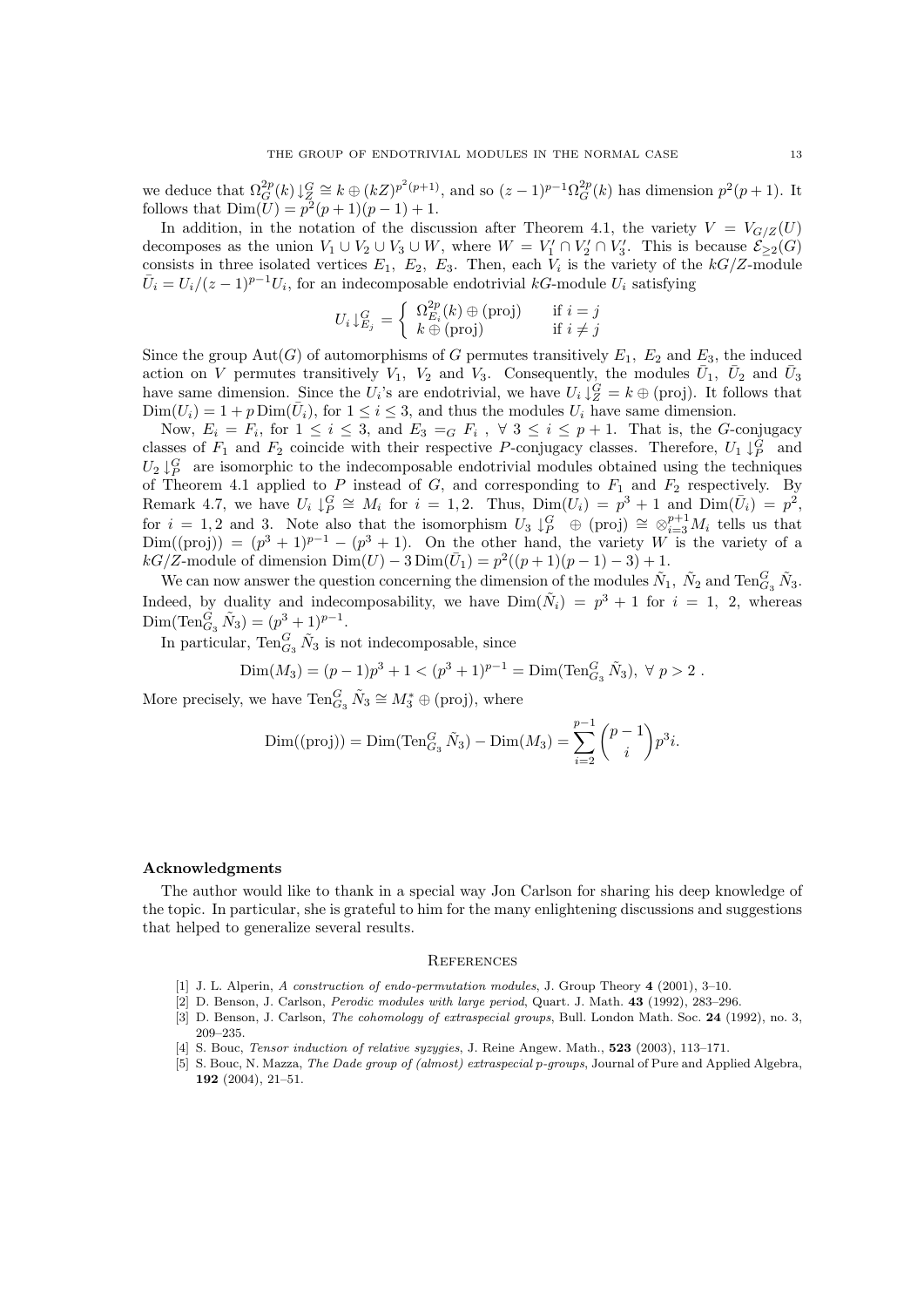we deduce that  $\Omega_G^{2p}(k) \downarrow_Q^G \cong k \oplus (kZ)^{p^2(p+1)}$ , and so  $(z-1)^{p-1}\Omega_G^{2p}(k)$  has dimension  $p^2(p+1)$ . It follows that  $Dim(U) = p^2(p+1)(p-1) + 1$ .

In addition, in the notation of the discussion after Theorem 4.1, the variety  $V = V_{G/Z}(U)$ decomposes as the union  $V_1 \cup V_2 \cup V_3 \cup W$ , where  $W = V'_1 \cap V'_2 \cap V'_3$ . This is because  $\mathcal{E}_{\geq 2}(G)$ consists in three isolated vertices  $E_1$ ,  $E_2$ ,  $E_3$ . Then, each  $V_i$  is the variety of the  $kG/Z$ -module  $\overline{U}_i = U_i/(z-1)^{p-1}U_i$ , for an indecomposable endotrivial kG-module  $U_i$  satisfying

$$
U_i \downarrow_{E_j}^G = \begin{cases} \Omega_{E_i}^{2p}(k) \oplus \text{(proj)} & \text{if } i = j \\ k \oplus \text{(proj)} & \text{if } i \neq j \end{cases}
$$

Since the group  $Aut(G)$  of automorphisms of G permutes transitively  $E_1$ ,  $E_2$  and  $E_3$ , the induced action on V permutes transitively  $V_1$ ,  $V_2$  and  $V_3$ . Consequently, the modules  $\bar{U}_1$ ,  $\bar{U}_2$  and  $\bar{U}_3$ have same dimension. Since the  $U_i$ 's are endotrivial, we have  $U_i \downarrow^G_Z = k \oplus$  (proj). It follows that  $Dim(U_i) = 1 + p\,Dim(\bar{U}_i)$ , for  $1 \leq i \leq 3$ , and thus the modules  $U_i$  have same dimension.

Now,  $E_i = F_i$ , for  $1 \leq i \leq 3$ , and  $E_3 = G F_i$ ,  $\forall$   $3 \leq i \leq p+1$ . That is, the G-conjugacy classes of  $F_1$  and  $F_2$  coincide with their respective P-conjugacy classes. Therefore,  $U_1 \downarrow^G_P$  and  $U_2 \downarrow^G_P$  are isomorphic to the indecomposable endotrivial modules obtained using the techniques of Theorem 4.1 applied to P instead of G, and corresponding to  $F_1$  and  $F_2$  respectively. By Remark 4.7, we have  $U_i \downarrow_P^G \cong M_i$  for  $i = 1, 2$ . Thus,  $Dim(U_i) = p^3 + 1$  and  $Dim(\bar{U}_i) = p^2$ , for  $i = 1, 2$  and 3. Note also that the isomorphism  $U_3 \downarrow^G_P \oplus (\text{proj}) \cong \otimes_{i=3}^{p+1} M_i$  tells us that  $Dim((proj)) = (p^3 + 1)^{p-1} - (p^3 + 1)$ . On the other hand, the variety W is the variety of a  $kG/Z$ -module of dimension  $Dim(U) - 3Dim(\bar{U}_1) = p^2((p+1)(p-1) - 3) + 1.$ 

We can now answer the question concerning the dimension of the modules  $\tilde{N}_1$ ,  $\tilde{N}_2$  and  $\text{Ten}_{G_3}^G \tilde{N}_3$ . Indeed, by duality and indecomposability, we have  $Dim(N_i) = p^3 + 1$  for  $i = 1, 2$ , whereas Dim(Ten $_{G_3}^G \tilde{N}_3$ ) =  $(p^3 + 1)^{p-1}$ .

In particular,  $\text{Ten}_{G_3}^G \tilde{N}_3$  is not indecomposable, since

$$
Dim(M_3) = (p-1)p^3 + 1 < (p^3 + 1)^{p-1} = Dim(Ten_{G_3}^G \tilde{N}_3), \ \forall \ p > 2.
$$

More precisely, we have  $\text{Ten}_{G_3}^G \tilde{N}_3 \cong M_3^* \oplus \text{(proj)}$ , where

$$
\text{Dim}((\text{proj})) = \text{Dim}(\text{Ten}_{G_3}^G \tilde{N}_3) - \text{Dim}(M_3) = \sum_{i=2}^{p-1} {p-1 \choose i} p^3 i.
$$

#### Acknowledgments

The author would like to thank in a special way Jon Carlson for sharing his deep knowledge of the topic. In particular, she is grateful to him for the many enlightening discussions and suggestions that helped to generalize several results.

#### **REFERENCES**

- [1] J. L. Alperin, A construction of endo-permutation modules, J. Group Theory 4 (2001), 3-10.
- [2] D. Benson, J. Carlson, Perodic modules with large period, Quart. J. Math. 43 (1992), 283–296.
- [3] D. Benson, J. Carlson, *The cohomology of extraspecial groups*, Bull. London Math. Soc. 24 (1992), no. 3, 209–235.
- [4] S. Bouc, *Tensor induction of relative syzygies*, J. Reine Angew. Math., **523** (2003), 113–171.
- [5] S. Bouc, N. Mazza, The Dade group of (almost) extraspecial p-groups, Journal of Pure and Applied Algebra, 192 (2004), 21–51.